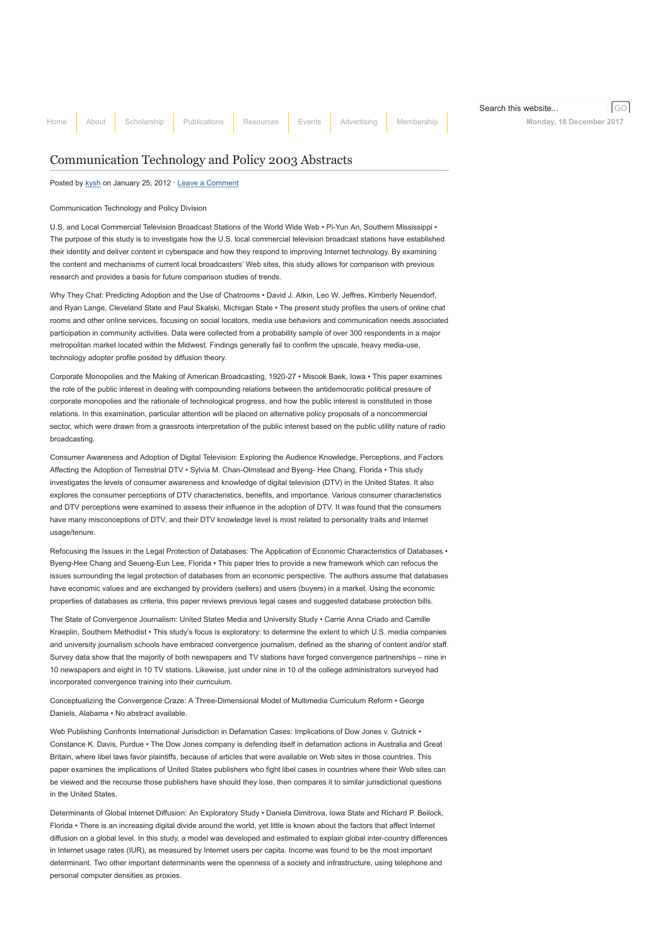# [Communication Technology and Policy 2003 Abstracts](http://www.aejmc.org/home/2012/01/ctp-2003-abstracts/)

Posted by [kysh](http://www.aejmc.org/home/author/kyshiab/) on January 25, 2012 · [Leave a Comment](http://www.aejmc.org/home/2012/01/ctp-2003-abstracts/#respond)

## Communication Technology and Policy Division

U.S. and Local Commercial Television Broadcast Stations of the World Wide Web • Pi-Yun An, Southern Mississippi • The purpose of this study is to investigate how the U.S. local commercial television broadcast stations have established their identity and deliver content in cyberspace and how they respond to improving Internet technology. By examining the content and mechanisms of current local broadcasters' Web sites, this study allows for comparison with previous research and provides a basis for future comparison studies of trends.

Why They Chat: Predicting Adoption and the Use of Chatrooms • David J. Atkin, Leo W. Jeffres, Kimberly Neuendorf, and Ryan Lange, Cleveland State and Paul Skalski, Michigan State • The present study profiles the users of online chat rooms and other online services, focusing on social locators, media use behaviors and communication needs associated participation in community activities. Data were collected from a probability sample of over 300 respondents in a major metropolitan market located within the Midwest. Findings generally fail to confirm the upscale, heavy media-use, technology adopter profile posited by diffusion theory.

Corporate Monopolies and the Making of American Broadcasting, 1920-27 • Misook Baek, Iowa • This paper examines the role of the public interest in dealing with compounding relations between the antidemocratic political pressure of corporate monopolies and the rationale of technological progress, and how the public interest is constituted in those relations. In this examination, particular attention will be placed on alternative policy proposals of a noncommercial sector, which were drawn from a grassroots interpretation of the public interest based on the public utility nature of radio broadcasting.

Consumer Awareness and Adoption of Digital Television: Exploring the Audience Knowledge, Perceptions, and Factors Affecting the Adoption of Terrestrial DTV • Sylvia M. Chan-Olmstead and Byeng- Hee Chang, Florida • This study investigates the levels of consumer awareness and knowledge of digital television (DTV) in the United States. It also explores the consumer perceptions of DTV characteristics, benefits, and importance. Various consumer characteristics and DTV perceptions were examined to assess their influence in the adoption of DTV. It was found that the consumers have many misconceptions of DTV, and their DTV knowledge level is most related to personality traits and Internet usage/tenure.

Refocusing the Issues in the Legal Protection of Databases: The Application of Economic Characteristics of Databases • Byeng-Hee Chang and Seueng-Eun Lee, Florida • This paper tries to provide a new framework which can refocus the issues surrounding the legal protection of databases from an economic perspective. The authors assume that databases have economic values and are exchanged by providers (sellers) and users (buyers) in a market. Using the economic properties of databases as criteria, this paper reviews previous legal cases and suggested database protection bills.

The State of Convergence Journalism: United States Media and University Study • Carrie Anna Criado and Camille Kraeplin, Southern Methodist • This study's focus is exploratory: to determine the extent to which U.S. media companies and university journalism schools have embraced convergence journalism, defined as the sharing of content and/or staff. Survey data show that the majority of both newspapers and TV stations have forged convergence partnerships – nine in 10 newspapers and eight in 10 TV stations. Likewise, just under nine in 10 of the college administrators surveyed had incorporated convergence training into their curriculum.

Conceptualizing the Convergence Craze: A Three-Dimensional Model of Multimedia Curriculum Reform • George Daniels, Alabama • No abstract available.

Web Publishing Confronts International Jurisdiction in Defamation Cases: Implications of Dow Jones v. Gutnick • Constance K. Davis, Purdue • The Dow Jones company is defending itself in defamation actions in Australia and Great Britain, where libel laws favor plaintiffs, because of articles that were available on Web sites in those countries. This paper examines the implications of United States publishers who fight libel cases in countries where their Web sites can be viewed and the recourse those publishers have should they lose, then compares it to similar jurisdictional questions in the United States.

Determinants of Global Internet Diffusion: An Exploratory Study • Daniela Dimitrova, Iowa State and Richard P. Beilock, Florida • There is an increasing digital divide around the world, yet little is known about the factors that affect Internet diffusion on a global level. In this study, a model was developed and estimated to explain global inter-country differences in Internet usage rates (IUR), as measured by Internet users per capita. Income was found to be the most important determinant. Two other important determinants were the openness of a society and infrastructure, using telephone and personal computer densities as proxies.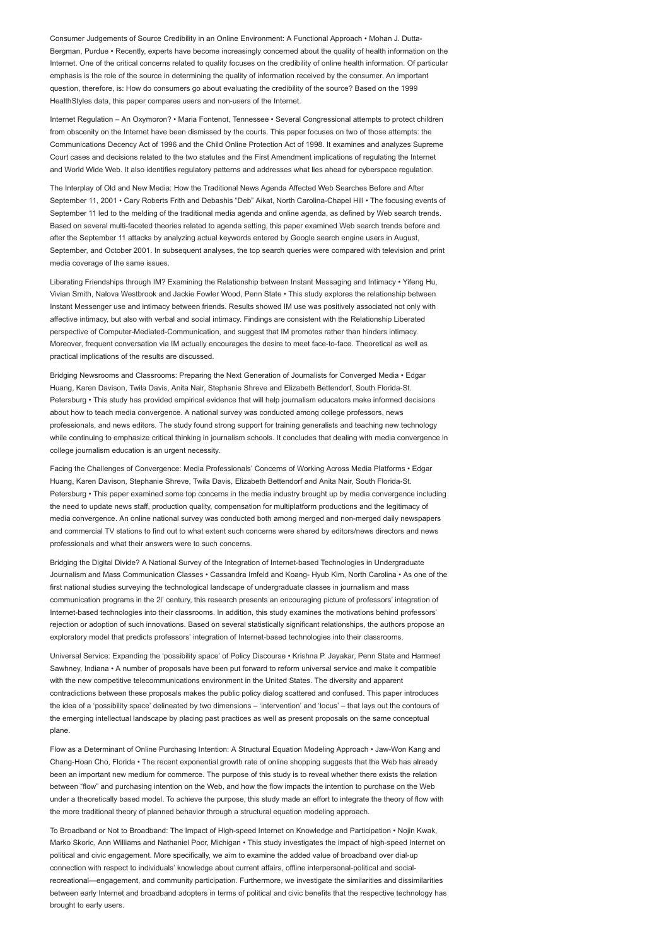Consumer Judgements of Source Credibility in an Online Environment: A Functional Approach • Mohan J. Dutta-Bergman, Purdue • Recently, experts have become increasingly concerned about the quality of health information on the Internet. One of the critical concerns related to quality focuses on the credibility of online health information. Of particular emphasis is the role of the source in determining the quality of information received by the consumer. An important question, therefore, is: How do consumers go about evaluating the credibility of the source? Based on the 1999 HealthStyles data, this paper compares users and non-users of the Internet.

Internet Regulation – An Oxymoron? • Maria Fontenot, Tennessee • Several Congressional attempts to protect children from obscenity on the Internet have been dismissed by the courts. This paper focuses on two of those attempts: the Communications Decency Act of 1996 and the Child Online Protection Act of 1998. It examines and analyzes Supreme Court cases and decisions related to the two statutes and the First Amendment implications of regulating the Internet and World Wide Web. It also identifies regulatory patterns and addresses what lies ahead for cyberspace regulation.

The Interplay of Old and New Media: How the Traditional News Agenda Affected Web Searches Before and After September 11, 2001 • Cary Roberts Frith and Debashis "Deb" Aikat, North Carolina-Chapel Hill • The focusing events of September 11 led to the melding of the traditional media agenda and online agenda, as defined by Web search trends. Based on several multi-faceted theories related to agenda setting, this paper examined Web search trends before and after the September 11 attacks by analyzing actual keywords entered by Google search engine users in August, September, and October 2001. In subsequent analyses, the top search queries were compared with television and print media coverage of the same issues.

Liberating Friendships through IM? Examining the Relationship between Instant Messaging and Intimacy • Yifeng Hu, Vivian Smith, Nalova Westbrook and Jackie Fowler Wood, Penn State • This study explores the relationship between Instant Messenger use and intimacy between friends. Results showed IM use was positively associated not only with affective intimacy, but also with verbal and social intimacy. Findings are consistent with the Relationship Liberated perspective of Computer-Mediated-Communication, and suggest that IM promotes rather than hinders intimacy. Moreover, frequent conversation via IM actually encourages the desire to meet face-to-face. Theoretical as well as practical implications of the results are discussed.

Bridging Newsrooms and Classrooms: Preparing the Next Generation of Journalists for Converged Media • Edgar Huang, Karen Davison, Twila Davis, Anita Nair, Stephanie Shreve and Elizabeth Bettendorf, South Florida-St. Petersburg • This study has provided empirical evidence that will help journalism educators make informed decisions about how to teach media convergence. A national survey was conducted among college professors, news professionals, and news editors. The study found strong support for training generalists and teaching new technology while continuing to emphasize critical thinking in journalism schools. It concludes that dealing with media convergence in college journalism education is an urgent necessity.

Facing the Challenges of Convergence: Media Professionals' Concerns of Working Across Media Platforms • Edgar Huang, Karen Davison, Stephanie Shreve, Twila Davis, Elizabeth Bettendorf and Anita Nair, South Florida-St. Petersburg • This paper examined some top concerns in the media industry brought up by media convergence including the need to update news staff, production quality, compensation for multiplatform productions and the legitimacy of media convergence. An online national survey was conducted both among merged and non-merged daily newspapers and commercial TV stations to find out to what extent such concerns were shared by editors/news directors and news professionals and what their answers were to such concerns.

Bridging the Digital Divide? A National Survey of the Integration of Internet-based Technologies in Undergraduate Journalism and Mass Communication Classes • Cassandra Imfeld and Koang- Hyub Kim, North Carolina • As one of the first national studies surveying the technological landscape of undergraduate classes in journalism and mass communication programs in the 2l' century, this research presents an encouraging picture of professors' integration of Internet-based technologies into their classrooms. In addition, this study examines the motivations behind professors' rejection or adoption of such innovations. Based on several statistically significant relationships, the authors propose an exploratory model that predicts professors' integration of Internet-based technologies into their classrooms.

Universal Service: Expanding the 'possibility space' of Policy Discourse • Krishna P. Jayakar, Penn State and Harmeet Sawhney, Indiana • A number of proposals have been put forward to reform universal service and make it compatible with the new competitive telecommunications environment in the United States. The diversity and apparent contradictions between these proposals makes the public policy dialog scattered and confused. This paper introduces the idea of a 'possibility space' delineated by two dimensions – 'intervention' and 'locus' – that lays out the contours of the emerging intellectual landscape by placing past practices as well as present proposals on the same conceptual plane.

Flow as a Determinant of Online Purchasing Intention: A Structural Equation Modeling Approach • Jaw-Won Kang and Chang-Hoan Cho, Florida • The recent exponential growth rate of online shopping suggests that the Web has already been an important new medium for commerce. The purpose of this study is to reveal whether there exists the relation between "flow" and purchasing intention on the Web, and how the flow impacts the intention to purchase on the Web under a theoretically based model. To achieve the purpose, this study made an effort to integrate the theory of flow with the more traditional theory of planned behavior through a structural equation modeling approach.

To Broadband or Not to Broadband: The Impact of High-speed Internet on Knowledge and Participation • Nojin Kwak, Marko Skoric, Ann Williams and Nathaniel Poor, Michigan • This study investigates the impact of high-speed Internet on political and civic engagement. More specifically, we aim to examine the added value of broadband over dial-up connection with respect to individuals' knowledge about current affairs, offline interpersonal-political and socialrecreational—engagement, and community participation. Furthermore, we investigate the similarities and dissimilarities between early Internet and broadband adopters in terms of political and civic benefits that the respective technology has brought to early users.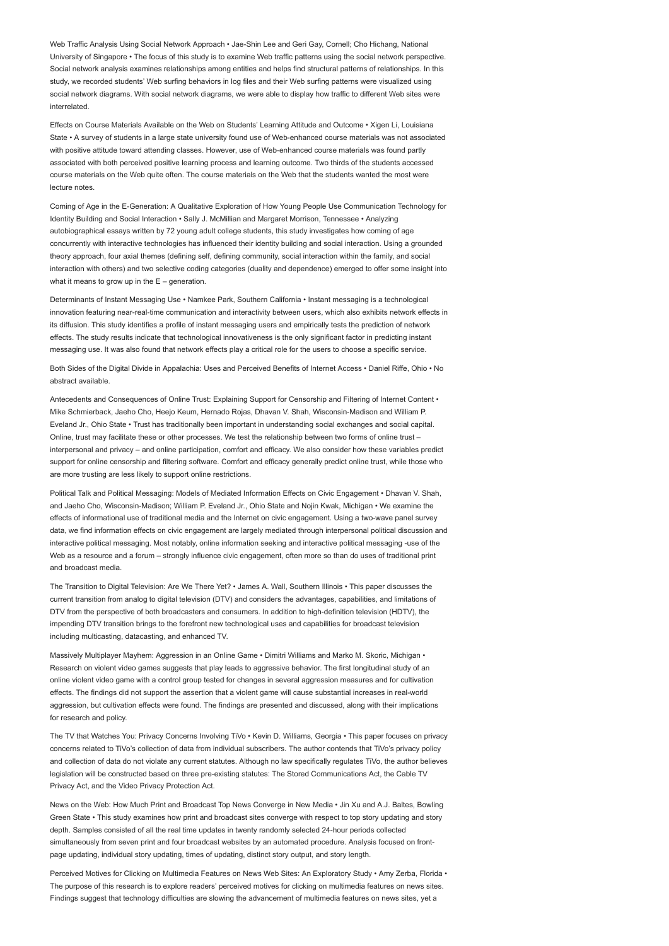Web Traffic Analysis Using Social Network Approach • Jae-Shin Lee and Geri Gay, Cornell; Cho Hichang, National University of Singapore • The focus of this study is to examine Web traffic patterns using the social network perspective. Social network analysis examines relationships among entities and helps find structural patterns of relationships. In this study, we recorded students' Web surfing behaviors in log files and their Web surfing patterns were visualized using social network diagrams. With social network diagrams, we were able to display how traffic to different Web sites were interrelated.

Effects on Course Materials Available on the Web on Students' Learning Attitude and Outcome • Xigen Li, Louisiana State • A survey of students in a large state university found use of Web-enhanced course materials was not associated with positive attitude toward attending classes. However, use of Web-enhanced course materials was found partly associated with both perceived positive learning process and learning outcome. Two thirds of the students accessed course materials on the Web quite often. The course materials on the Web that the students wanted the most were lecture notes.

Coming of Age in the E-Generation: A Qualitative Exploration of How Young People Use Communication Technology for Identity Building and Social Interaction • Sally J. McMillian and Margaret Morrison, Tennessee • Analyzing autobiographical essays written by 72 young adult college students, this study investigates how coming of age concurrently with interactive technologies has influenced their identity building and social interaction. Using a grounded theory approach, four axial themes (defining self, defining community, social interaction within the family, and social interaction with others) and two selective coding categories (duality and dependence) emerged to offer some insight into what it means to grow up in the  $E -$  generation.

Determinants of Instant Messaging Use • Namkee Park, Southern California • Instant messaging is a technological innovation featuring near-real-time communication and interactivity between users, which also exhibits network effects in its diffusion. This study identifies a profile of instant messaging users and empirically tests the prediction of network effects. The study results indicate that technological innovativeness is the only significant factor in predicting instant messaging use. It was also found that network effects play a critical role for the users to choose a specific service.

Both Sides of the Digital Divide in Appalachia: Uses and Perceived Benefits of Internet Access • Daniel Riffe, Ohio • No abstract available.

Antecedents and Consequences of Online Trust: Explaining Support for Censorship and Filtering of Internet Content • Mike Schmierback, Jaeho Cho, Heejo Keum, Hernado Rojas, Dhavan V. Shah, Wisconsin-Madison and William P. Eveland Jr., Ohio State • Trust has traditionally been important in understanding social exchanges and social capital. Online, trust may facilitate these or other processes. We test the relationship between two forms of online trust – interpersonal and privacy – and online participation, comfort and efficacy. We also consider how these variables predict support for online censorship and filtering software. Comfort and efficacy generally predict online trust, while those who are more trusting are less likely to support online restrictions.

Political Talk and Political Messaging: Models of Mediated Information Effects on Civic Engagement • Dhavan V. Shah, and Jaeho Cho, Wisconsin-Madison; William P. Eveland Jr., Ohio State and Nojin Kwak, Michigan • We examine the effects of informational use of traditional media and the Internet on civic engagement. Using a two-wave panel survey data, we find information effects on civic engagement are largely mediated through interpersonal political discussion and interactive political messaging. Most notably, online information seeking and interactive political messaging -use of the Web as a resource and a forum – strongly influence civic engagement, often more so than do uses of traditional print and broadcast media.

The Transition to Digital Television: Are We There Yet? • James A. Wall, Southern Illinois • This paper discusses the current transition from analog to digital television (DTV) and considers the advantages, capabilities, and limitations of DTV from the perspective of both broadcasters and consumers. In addition to high-definition television (HDTV), the impending DTV transition brings to the forefront new technological uses and capabilities for broadcast television including multicasting, datacasting, and enhanced TV.

Massively Multiplayer Mayhem: Aggression in an Online Game • Dimitri Williams and Marko M. Skoric, Michigan • Research on violent video games suggests that play leads to aggressive behavior. The first longitudinal study of an online violent video game with a control group tested for changes in several aggression measures and for cultivation effects. The findings did not support the assertion that a violent game will cause substantial increases in real-world aggression, but cultivation effects were found. The findings are presented and discussed, along with their implications for research and policy.

The TV that Watches You: Privacy Concerns Involving TiVo • Kevin D. Williams, Georgia • This paper focuses on privacy concerns related to TiVo's collection of data from individual subscribers. The author contends that TiVo's privacy policy and collection of data do not violate any current statutes. Although no law specifically regulates TiVo, the author believes legislation will be constructed based on three pre-existing statutes: The Stored Communications Act, the Cable TV Privacy Act, and the Video Privacy Protection Act.

News on the Web: How Much Print and Broadcast Top News Converge in New Media • Jin Xu and A.J. Baltes, Bowling Green State • This study examines how print and broadcast sites converge with respect to top story updating and story depth. Samples consisted of all the real time updates in twenty randomly selected 24-hour periods collected simultaneously from seven print and four broadcast websites by an automated procedure. Analysis focused on frontpage updating, individual story updating, times of updating, distinct story output, and story length.

Perceived Motives for Clicking on Multimedia Features on News Web Sites: An Exploratory Study • Amy Zerba, Florida • The purpose of this research is to explore readers' perceived motives for clicking on multimedia features on news sites. Findings suggest that technology difficulties are slowing the advancement of multimedia features on news sites, yet a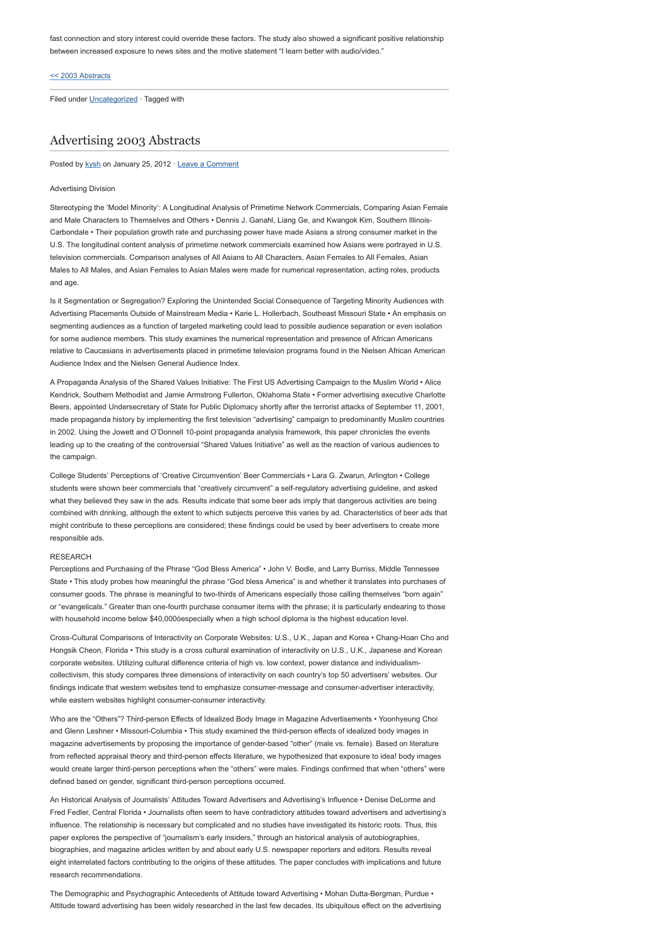fast connection and story interest could override these factors. The study also showed a significant positive relationship between increased exposure to news sites and the motive statement "I learn better with audio/video."

### [<< 2003 Abstracts](http://www.aejmc.com/home/2011/03/2003-abstracts/)

Filed under [Uncategorized](http://www.aejmc.org/home/category/uncategorized/) · Tagged with

# [Advertising 2003 Abstracts](http://www.aejmc.org/home/2012/01/adv-2003-abstracts/)

Posted by [kysh](http://www.aejmc.org/home/author/kyshiab/) on January 25, 2012 · [Leave a Comment](http://www.aejmc.org/home/2012/01/adv-2003-abstracts/#respond)

#### Advertising Division

Stereotyping the 'Model Minority': A Longitudinal Analysis of Primetime Network Commercials, Comparing Asian Female and Male Characters to Themselves and Others • Dennis J. Ganahl, Liang Ge, and Kwangok Kim, Southern Illinois-Carbondale • Their population growth rate and purchasing power have made Asians a strong consumer market in the U.S. The longitudinal content analysis of primetime network commercials examined how Asians were portrayed in U.S. television commercials. Comparison analyses of All Asians to All Characters, Asian Females to All Females, Asian Males to All Males, and Asian Females to Asian Males were made for numerical representation, acting roles, products and age.

Is it Segmentation or Segregation? Exploring the Unintended Social Consequence of Targeting Minority Audiences with Advertising Placements Outside of Mainstream Media • Karie L. Hollerbach, Southeast Missouri State • An emphasis on segmenting audiences as a function of targeted marketing could lead to possible audience separation or even isolation for some audience members. This study examines the numerical representation and presence of African Americans relative to Caucasians in advertisements placed in primetime television programs found in the Nielsen African American Audience Index and the Nielsen General Audience Index.

A Propaganda Analysis of the Shared Values Initiative: The First US Advertising Campaign to the Muslim World • Alice Kendrick, Southern Methodist and Jamie Armstrong Fullerton, Oklahoma State • Former advertising executive Charlotte Beers, appointed Undersecretary of State for Public Diplomacy shortly after the terrorist attacks of September 11, 2001, made propaganda history by implementing the first television "advertising" campaign to predominantly Muslim countries in 2002. Using the Jowett and O'Donnell 10-point propaganda analysis framework, this paper chronicles the events leading up to the creating of the controversial "Shared Values Initiative" as well as the reaction of various audiences to the campaign.

College Students' Perceptions of 'Creative Circumvention' Beer Commercials • Lara G. Zwarun, Arlington • College students were shown beer commercials that "creatively circumvent" a self-regulatory advertising guideline, and asked what they believed they saw in the ads. Results indicate that some beer ads imply that dangerous activities are being combined with drinking, although the extent to which subjects perceive this varies by ad. Characteristics of beer ads that might contribute to these perceptions are considered; these findings could be used by beer advertisers to create more responsible ads.

### RESEARCH

Perceptions and Purchasing of the Phrase "God Bless America" • John V. Bodle, and Larry Burriss, Middle Tennessee State • This study probes how meaningful the phrase "God bless America" is and whether it translates into purchases of consumer goods. The phrase is meaningful to two-thirds of Americans especially those calling themselves "born again" or "evangelicals." Greater than one-fourth purchase consumer items with the phrase; it is particularly endearing to those with household income below \$40,000óespecially when a high school diploma is the highest education level.

Cross-Cultural Comparisons of Interactivity on Corporate Websites: U.S., U.K., Japan and Korea • Chang-Hoan Cho and Hongsik Cheon, Florida • This study is a cross cultural examination of interactivity on U.S., U.K., Japanese and Korean corporate websites. Utilizing cultural difference criteria of high vs. low context, power distance and individualismcollectivism, this study compares three dimensions of interactivity on each country's top 50 advertisers' websites. Our findings indicate that western websites tend to emphasize consumer-message and consumer-advertiser interactivity, while eastern websites highlight consumer-consumer interactivity.

Who are the "Others"? Third-person Effects of Idealized Body Image in Magazine Advertisements • Yoonhyeung Choi and Glenn Leshner • Missouri-Columbia • This study examined the third-person effects of idealized body images in magazine advertisements by proposing the importance of gender-based "other" (male vs. female). Based on literature from reflected appraisal theory and third-person effects literature, we hypothesized that exposure to idea! body images would create larger third-person perceptions when the "others" were males. Findings confirmed that when "others" were defined based on gender, significant third-person perceptions occurred.

An Historical Analysis of Journalists' Attitudes Toward Advertisers and Advertising's Influence • Denise DeLorme and Fred Fedler, Central Florida • Journalists often seem to have contradictory attitudes toward advertisers and advertising's influence. The relationship is necessary but complicated and no studies have investigated its historic roots. Thus, this paper explores the perspective of "journalism's early insiders," through an historical analysis of autobiographies, biographies, and magazine articles written by and about early U.S. newspaper reporters and editors. Results reveal eight interrelated factors contributing to the origins of these attitudes. The paper concludes with implications and future research recommendations.

The Demographic and Psychographic Antecedents of Attitude toward Advertising • Mohan Dutta-Bergman, Purdue • Attitude toward advertising has been widely researched in the last few decades. Its ubiquitous effect on the advertising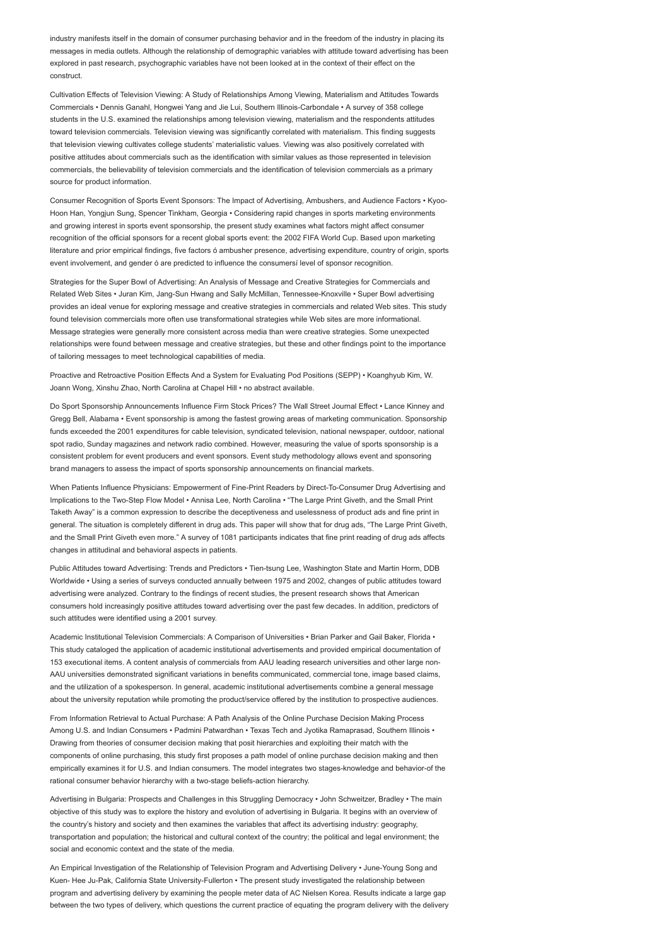industry manifests itself in the domain of consumer purchasing behavior and in the freedom of the industry in placing its messages in media outlets. Although the relationship of demographic variables with attitude toward advertising has been explored in past research, psychographic variables have not been looked at in the context of their effect on the construct.

Cultivation Effects of Television Viewing: A Study of Relationships Among Viewing, Materialism and Attitudes Towards Commercials • Dennis Ganahl, Hongwei Yang and Jie Lui, Southern Illinois-Carbondale • A survey of 358 college students in the U.S. examined the relationships among television viewing, materialism and the respondents attitudes toward television commercials. Television viewing was significantly correlated with materialism. This finding suggests that television viewing cultivates college students' materialistic values. Viewing was also positively correlated with positive attitudes about commercials such as the identification with similar values as those represented in television commercials, the believability of television commercials and the identification of television commercials as a primary source for product information.

Consumer Recognition of Sports Event Sponsors: The Impact of Advertising, Ambushers, and Audience Factors • Kyoo-Hoon Han, Yongjun Sung, Spencer Tinkham, Georgia • Considering rapid changes in sports marketing environments and growing interest in sports event sponsorship, the present study examines what factors might affect consumer recognition of the official sponsors for a recent global sports event: the 2002 FIFA World Cup. Based upon marketing literature and prior empirical findings, five factors ó ambusher presence, advertising expenditure, country of origin, sports event involvement, and gender ó are predicted to influence the consumersí level of sponsor recognition.

Strategies for the Super Bowl of Advertising: An Analysis of Message and Creative Strategies for Commercials and Related Web Sites • Juran Kim, Jang-Sun Hwang and Sally McMillan, Tennessee-Knoxville • Super Bowl advertising provides an ideal venue for exploring message and creative strategies in commercials and related Web sites. This study found television commercials more often use transformational strategies while Web sites are more informational. Message strategies were generally more consistent across media than were creative strategies. Some unexpected relationships were found between message and creative strategies, but these and other findings point to the importance of tailoring messages to meet technological capabilities of media.

Proactive and Retroactive Position Effects And a System for Evaluating Pod Positions (SEPP) • Koanghyub Kim, W. Joann Wong, Xinshu Zhao, North Carolina at Chapel Hill • no abstract available.

Do Sport Sponsorship Announcements Influence Firm Stock Prices? The Wall Street Journal Effect • Lance Kinney and Gregg Bell, Alabama • Event sponsorship is among the fastest growing areas of marketing communication. Sponsorship funds exceeded the 2001 expenditures for cable television, syndicated television, national newspaper, outdoor, national spot radio, Sunday magazines and network radio combined. However, measuring the value of sports sponsorship is a consistent problem for event producers and event sponsors. Event study methodology allows event and sponsoring brand managers to assess the impact of sports sponsorship announcements on financial markets.

When Patients Influence Physicians: Empowerment of Fine-Print Readers by Direct-To-Consumer Drug Advertising and Implications to the Two-Step Flow Model • Annisa Lee, North Carolina • "The Large Print Giveth, and the Small Print Taketh Away" is a common expression to describe the deceptiveness and uselessness of product ads and fine print in general. The situation is completely different in drug ads. This paper will show that for drug ads, "The Large Print Giveth, and the Small Print Giveth even more." A survey of 1081 participants indicates that fine print reading of drug ads affects changes in attitudinal and behavioral aspects in patients.

Public Attitudes toward Advertising: Trends and Predictors • Tien-tsung Lee, Washington State and Martin Horm, DDB Worldwide • Using a series of surveys conducted annually between 1975 and 2002, changes of public attitudes toward advertising were analyzed. Contrary to the findings of recent studies, the present research shows that American consumers hold increasingly positive attitudes toward advertising over the past few decades. In addition, predictors of such attitudes were identified using a 2001 survey.

Academic Institutional Television Commercials: A Comparison of Universities • Brian Parker and Gail Baker, Florida • This study cataloged the application of academic institutional advertisements and provided empirical documentation of 153 executional items. A content analysis of commercials from AAU leading research universities and other large non-AAU universities demonstrated significant variations in benefits communicated, commercial tone, image based claims, and the utilization of a spokesperson. In general, academic institutional advertisements combine a general message about the university reputation while promoting the product/service offered by the institution to prospective audiences.

From Information Retrieval to Actual Purchase: A Path Analysis of the Online Purchase Decision Making Process Among U.S. and Indian Consumers • Padmini Patwardhan • Texas Tech and Jyotika Ramaprasad, Southern Illinois • Drawing from theories of consumer decision making that posit hierarchies and exploiting their match with the components of online purchasing, this study first proposes a path model of online purchase decision making and then empirically examines it for U.S. and Indian consumers. The model integrates two stages-knowledge and behavior-of the rational consumer behavior hierarchy with a two-stage beliefs-action hierarchy.

Advertising in Bulgaria: Prospects and Challenges in this Struggling Democracy • John Schweitzer, Bradley • The main objective of this study was to explore the history and evolution of advertising in Bulgaria. It begins with an overview of the country's history and society and then examines the variables that affect its advertising industry: geography, transportation and population; the historical and cultural context of the country; the political and legal environment; the social and economic context and the state of the media.

An Empirical Investigation of the Relationship of Television Program and Advertising Delivery • June-Young Song and Kuen- Hee Ju-Pak, California State University-Fullerton • The present study investigated the relationship between program and advertising delivery by examining the people meter data of AC Nielsen Korea. Results indicate a large gap between the two types of delivery, which questions the current practice of equating the program delivery with the delivery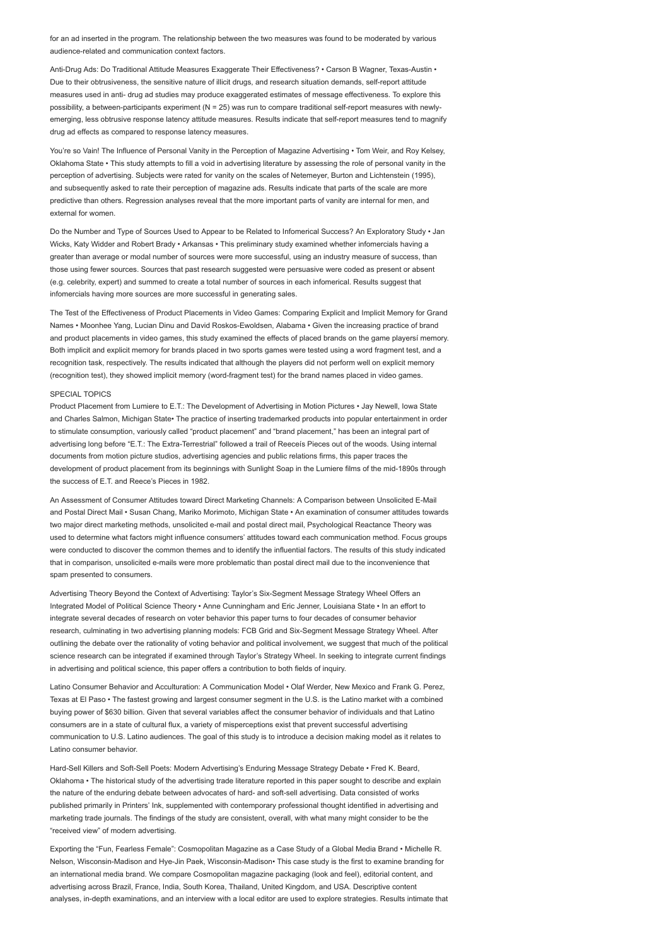for an ad inserted in the program. The relationship between the two measures was found to be moderated by various audience-related and communication context factors.

Anti-Drug Ads: Do Traditional Attitude Measures Exaggerate Their Effectiveness? • Carson B Wagner, Texas-Austin • Due to their obtrusiveness, the sensitive nature of illicit drugs, and research situation demands, self-report attitude measures used in anti- drug ad studies may produce exaggerated estimates of message effectiveness. To explore this possibility, a between-participants experiment (N = 25) was run to compare traditional self-report measures with newlyemerging, less obtrusive response latency attitude measures. Results indicate that self-report measures tend to magnify drug ad effects as compared to response latency measures.

You're so Vain! The Influence of Personal Vanity in the Perception of Magazine Advertising • Tom Weir, and Roy Kelsey, Oklahoma State • This study attempts to fill a void in advertising literature by assessing the role of personal vanity in the perception of advertising. Subjects were rated for vanity on the scales of Netemeyer, Burton and Lichtenstein (1995), and subsequently asked to rate their perception of magazine ads. Results indicate that parts of the scale are more predictive than others. Regression analyses reveal that the more important parts of vanity are internal for men, and external for women.

Do the Number and Type of Sources Used to Appear to be Related to Infomerical Success? An Exploratory Study • Jan Wicks, Katy Widder and Robert Brady • Arkansas • This preliminary study examined whether infomercials having a greater than average or modal number of sources were more successful, using an industry measure of success, than those using fewer sources. Sources that past research suggested were persuasive were coded as present or absent (e.g. celebrity, expert) and summed to create a total number of sources in each infomerical. Results suggest that infomercials having more sources are more successful in generating sales.

The Test of the Effectiveness of Product Placements in Video Games: Comparing Explicit and Implicit Memory for Grand Names • Moonhee Yang, Lucian Dinu and David Roskos-Ewoldsen, Alabama • Given the increasing practice of brand and product placements in video games, this study examined the effects of placed brands on the game playersí memory. Both implicit and explicit memory for brands placed in two sports games were tested using a word fragment test, and a recognition task, respectively. The results indicated that although the players did not perform well on explicit memory (recognition test), they showed implicit memory (word-fragment test) for the brand names placed in video games.

### SPECIAL TOPICS

Product Placement from Lumiere to E.T.: The Development of Advertising in Motion Pictures • Jay Newell, Iowa State and Charles Salmon, Michigan State• The practice of inserting trademarked products into popular entertainment in order to stimulate consumption, variously called "product placement" and "brand placement," has been an integral part of advertising long before "E.T.: The Extra-Terrestrial" followed a trail of Reeceís Pieces out of the woods. Using internal documents from motion picture studios, advertising agencies and public relations firms, this paper traces the development of product placement from its beginnings with Sunlight Soap in the Lumiere films of the mid-1890s through the success of E.T. and Reece's Pieces in 1982.

An Assessment of Consumer Attitudes toward Direct Marketing Channels: A Comparison between Unsolicited E-Mail and Postal Direct Mail • Susan Chang, Mariko Morimoto, Michigan State • An examination of consumer attitudes towards two major direct marketing methods, unsolicited e-mail and postal direct mail, Psychological Reactance Theory was used to determine what factors might influence consumers' attitudes toward each communication method. Focus groups were conducted to discover the common themes and to identify the influential factors. The results of this study indicated that in comparison, unsolicited e-mails were more problematic than postal direct mail due to the inconvenience that spam presented to consumers.

Advertising Theory Beyond the Context of Advertising: Taylor's Six-Segment Message Strategy Wheel Offers an Integrated Model of Political Science Theory • Anne Cunningham and Eric Jenner, Louisiana State • In an effort to integrate several decades of research on voter behavior this paper turns to four decades of consumer behavior research, culminating in two advertising planning models: FCB Grid and Six-Segment Message Strategy Wheel. After outlining the debate over the rationality of voting behavior and political involvement, we suggest that much of the political science research can be integrated if examined through Taylor's Strategy Wheel. In seeking to integrate current findings in advertising and political science, this paper offers a contribution to both fields of inquiry.

Latino Consumer Behavior and Acculturation: A Communication Model • Olaf Werder, New Mexico and Frank G. Perez, Texas at El Paso • The fastest growing and largest consumer segment in the U.S. is the Latino market with a combined buying power of \$630 billion. Given that several variables affect the consumer behavior of individuals and that Latino consumers are in a state of cultural flux, a variety of misperceptions exist that prevent successful advertising communication to U.S. Latino audiences. The goal of this study is to introduce a decision making model as it relates to Latino consumer behavior.

Hard-Sell Killers and Soft-Sell Poets: Modern Advertising's Enduring Message Strategy Debate • Fred K. Beard, Oklahoma • The historical study of the advertising trade literature reported in this paper sought to describe and explain the nature of the enduring debate between advocates of hard- and soft-sell advertising. Data consisted of works published primarily in Printers' Ink, supplemented with contemporary professional thought identified in advertising and marketing trade journals. The findings of the study are consistent, overall, with what many might consider to be the "received view" of modern advertising.

Exporting the "Fun, Fearless Female": Cosmopolitan Magazine as a Case Study of a Global Media Brand • Michelle R. Nelson, Wisconsin-Madison and Hye-Jin Paek, Wisconsin-Madison• This case study is the first to examine branding for an international media brand. We compare Cosmopolitan magazine packaging (look and feel), editorial content, and advertising across Brazil, France, India, South Korea, Thailand, United Kingdom, and USA. Descriptive content analyses, in-depth examinations, and an interview with a local editor are used to explore strategies. Results intimate that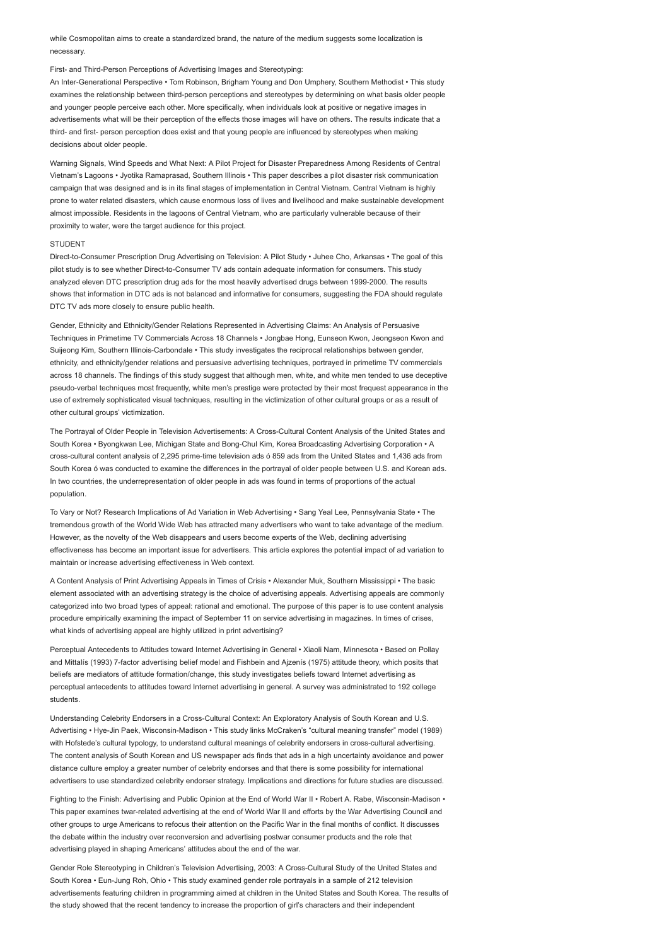while Cosmopolitan aims to create a standardized brand, the nature of the medium suggests some localization is necessary.

## First- and Third-Person Perceptions of Advertising Images and Stereotyping:

An Inter-Generational Perspective • Tom Robinson, Brigham Young and Don Umphery, Southern Methodist • This study examines the relationship between third-person perceptions and stereotypes by determining on what basis older people and younger people perceive each other. More specifically, when individuals look at positive or negative images in advertisements what will be their perception of the effects those images will have on others. The results indicate that a third- and first- person perception does exist and that young people are influenced by stereotypes when making decisions about older people.

Warning Signals, Wind Speeds and What Next: A Pilot Project for Disaster Preparedness Among Residents of Central Vietnam's Lagoons • Jyotika Ramaprasad, Southern Illinois • This paper describes a pilot disaster risk communication campaign that was designed and is in its final stages of implementation in Central Vietnam. Central Vietnam is highly prone to water related disasters, which cause enormous loss of lives and livelihood and make sustainable development almost impossible. Residents in the lagoons of Central Vietnam, who are particularly vulnerable because of their proximity to water, were the target audience for this project.

### **STUDENT**

Direct-to-Consumer Prescription Drug Advertising on Television: A Pilot Study • Juhee Cho, Arkansas • The goal of this pilot study is to see whether Direct-to-Consumer TV ads contain adequate information for consumers. This study analyzed eleven DTC prescription drug ads for the most heavily advertised drugs between 1999-2000. The results shows that information in DTC ads is not balanced and informative for consumers, suggesting the FDA should regulate DTC TV ads more closely to ensure public health.

Gender, Ethnicity and Ethnicity/Gender Relations Represented in Advertising Claims: An Analysis of Persuasive Techniques in Primetime TV Commercials Across 18 Channels • Jongbae Hong, Eunseon Kwon, Jeongseon Kwon and Suijeong Kim, Southern Illinois-Carbondale • This study investigates the reciprocal relationships between gender, ethnicity, and ethnicity/gender relations and persuasive advertising techniques, portrayed in primetime TV commercials across 18 channels. The findings of this study suggest that although men, white, and white men tended to use deceptive pseudo-verbal techniques most frequently, white men's prestige were protected by their most frequest appearance in the use of extremely sophisticated visual techniques, resulting in the victimization of other cultural groups or as a result of other cultural groups' victimization.

The Portrayal of Older People in Television Advertisements: A Cross-Cultural Content Analysis of the United States and South Korea • Byongkwan Lee, Michigan State and Bong-Chul Kim, Korea Broadcasting Advertising Corporation • A cross-cultural content analysis of 2,295 prime-time television ads ó 859 ads from the United States and 1,436 ads from South Korea ó was conducted to examine the differences in the portrayal of older people between U.S. and Korean ads. In two countries, the underrepresentation of older people in ads was found in terms of proportions of the actual population.

To Vary or Not? Research Implications of Ad Variation in Web Advertising • Sang Yeal Lee, Pennsylvania State • The tremendous growth of the World Wide Web has attracted many advertisers who want to take advantage of the medium. However, as the novelty of the Web disappears and users become experts of the Web, declining advertising effectiveness has become an important issue for advertisers. This article explores the potential impact of ad variation to maintain or increase advertising effectiveness in Web context.

A Content Analysis of Print Advertising Appeals in Times of Crisis • Alexander Muk, Southern Mississippi • The basic element associated with an advertising strategy is the choice of advertising appeals. Advertising appeals are commonly categorized into two broad types of appeal: rational and emotional. The purpose of this paper is to use content analysis procedure empirically examining the impact of September 11 on service advertising in magazines. In times of crises, what kinds of advertising appeal are highly utilized in print advertising?

Perceptual Antecedents to Attitudes toward Internet Advertising in General • Xiaoli Nam, Minnesota • Based on Pollay and Mittalís (1993) 7-factor advertising belief model and Fishbein and Ajzenís (1975) attitude theory, which posits that beliefs are mediators of attitude formation/change, this study investigates beliefs toward Internet advertising as perceptual antecedents to attitudes toward Internet advertising in general. A survey was administrated to 192 college students.

Understanding Celebrity Endorsers in a Cross-Cultural Context: An Exploratory Analysis of South Korean and U.S. Advertising • Hye-Jin Paek, Wisconsin-Madison • This study links McCraken's "cultural meaning transfer" model (1989) with Hofstede's cultural typology, to understand cultural meanings of celebrity endorsers in cross-cultural advertising. The content analysis of South Korean and US newspaper ads finds that ads in a high uncertainty avoidance and power distance culture employ a greater number of celebrity endorses and that there is some possibility for international advertisers to use standardized celebrity endorser strategy. Implications and directions for future studies are discussed.

Fighting to the Finish: Advertising and Public Opinion at the End of World War II • Robert A. Rabe, Wisconsin-Madison • This paper examines twar-related advertising at the end of World War II and efforts by the War Advertising Council and other groups to urge Americans to refocus their attention on the Pacific War in the final months of conflict. It discusses the debate within the industry over reconversion and advertising postwar consumer products and the role that advertising played in shaping Americans' attitudes about the end of the war.

Gender Role Stereotyping in Children's Television Advertising, 2003: A Cross-Cultural Study of the United States and South Korea • Eun-Jung Roh, Ohio • This study examined gender role portrayals in a sample of 212 television advertisements featuring children in programming aimed at children in the United States and South Korea. The results of the study showed that the recent tendency to increase the proportion of girl's characters and their independent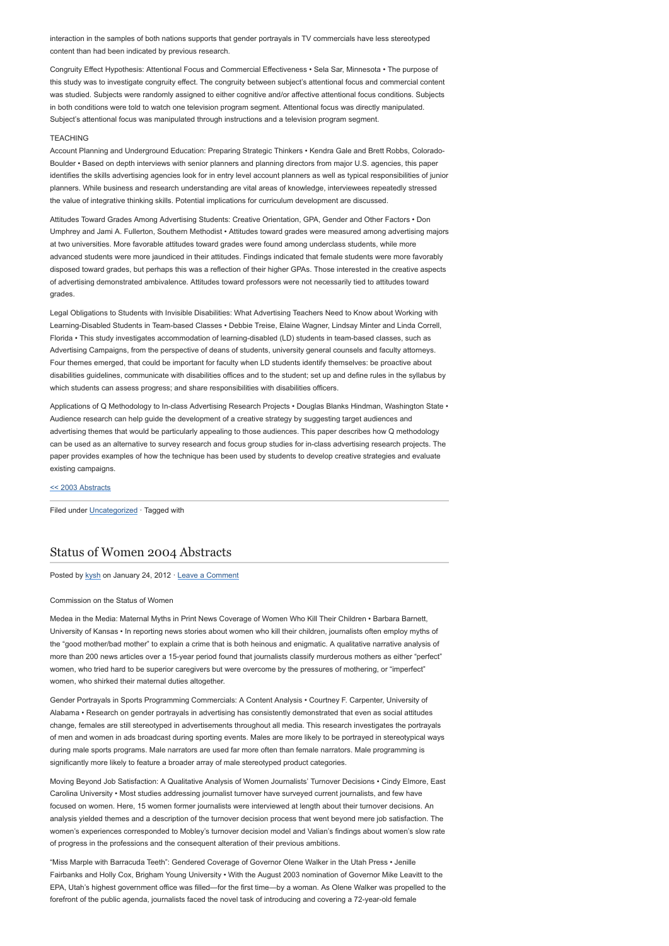interaction in the samples of both nations supports that gender portrayals in TV commercials have less stereotyped content than had been indicated by previous research.

Congruity Effect Hypothesis: Attentional Focus and Commercial Effectiveness • Sela Sar, Minnesota • The purpose of this study was to investigate congruity effect. The congruity between subject's attentional focus and commercial content was studied. Subjects were randomly assigned to either cognitive and/or affective attentional focus conditions. Subjects in both conditions were told to watch one television program segment. Attentional focus was directly manipulated. Subject's attentional focus was manipulated through instructions and a television program segment.

### TEACHING

Account Planning and Underground Education: Preparing Strategic Thinkers • Kendra Gale and Brett Robbs, Colorado-Boulder • Based on depth interviews with senior planners and planning directors from major U.S. agencies, this paper identifies the skills advertising agencies look for in entry level account planners as well as typical responsibilities of junior planners. While business and research understanding are vital areas of knowledge, interviewees repeatedly stressed the value of integrative thinking skills. Potential implications for curriculum development are discussed.

Attitudes Toward Grades Among Advertising Students: Creative Orientation, GPA, Gender and Other Factors • Don Umphrey and Jami A. Fullerton, Southern Methodist • Attitudes toward grades were measured among advertising majors at two universities. More favorable attitudes toward grades were found among underclass students, while more advanced students were more jaundiced in their attitudes. Findings indicated that female students were more favorably disposed toward grades, but perhaps this was a reflection of their higher GPAs. Those interested in the creative aspects of advertising demonstrated ambivalence. Attitudes toward professors were not necessarily tied to attitudes toward grades

Legal Obligations to Students with Invisible Disabilities: What Advertising Teachers Need to Know about Working with Learning-Disabled Students in Team-based Classes • Debbie Treise, Elaine Wagner, Lindsay Minter and Linda Correll, Florida • This study investigates accommodation of learning-disabled (LD) students in team-based classes, such as Advertising Campaigns, from the perspective of deans of students, university general counsels and faculty attorneys. Four themes emerged, that could be important for faculty when LD students identify themselves: be proactive about disabilities guidelines, communicate with disabilities offices and to the student; set up and define rules in the syllabus by which students can assess progress; and share responsibilities with disabilities officers.

Applications of Q Methodology to In-class Advertising Research Projects • Douglas Blanks Hindman, Washington State • Audience research can help guide the development of a creative strategy by suggesting target audiences and advertising themes that would be particularly appealing to those audiences. This paper describes how Q methodology can be used as an alternative to survey research and focus group studies for in-class advertising research projects. The paper provides examples of how the technique has been used by students to develop creative strategies and evaluate existing campaigns.

### [<< 2003 Abstracts](http://www.aejmc.com/home/2011/03/2003-abstracts/)

Filed under [Uncategorized](http://www.aejmc.org/home/category/uncategorized/) · Tagged with

# [Status of Women 2004 Abstracts](http://www.aejmc.org/home/2012/01/csw-2004-abstracts/)

Posted by [kysh](http://www.aejmc.org/home/author/kyshiab/) on January 24, 2012 · [Leave a Comment](http://www.aejmc.org/home/2012/01/csw-2004-abstracts/#respond)

#### Commission on the Status of Women

Medea in the Media: Maternal Myths in Print News Coverage of Women Who Kill Their Children • Barbara Barnett, University of Kansas • In reporting news stories about women who kill their children, journalists often employ myths of the "good mother/bad mother" to explain a crime that is both heinous and enigmatic. A qualitative narrative analysis of more than 200 news articles over a 15-year period found that journalists classify murderous mothers as either "perfect" women, who tried hard to be superior caregivers but were overcome by the pressures of mothering, or "imperfect" women, who shirked their maternal duties altogether.

Gender Portrayals in Sports Programming Commercials: A Content Analysis • Courtney F. Carpenter, University of Alabama • Research on gender portrayals in advertising has consistently demonstrated that even as social attitudes change, females are still stereotyped in advertisements throughout all media. This research investigates the portrayals of men and women in ads broadcast during sporting events. Males are more likely to be portrayed in stereotypical ways during male sports programs. Male narrators are used far more often than female narrators. Male programming is significantly more likely to feature a broader array of male stereotyped product categories.

Moving Beyond Job Satisfaction: A Qualitative Analysis of Women Journalists' Turnover Decisions • Cindy Elmore, East Carolina University • Most studies addressing journalist turnover have surveyed current journalists, and few have focused on women. Here, 15 women former journalists were interviewed at length about their turnover decisions. An analysis yielded themes and a description of the turnover decision process that went beyond mere job satisfaction. The women's experiences corresponded to Mobley's turnover decision model and Valian's findings about women's slow rate of progress in the professions and the consequent alteration of their previous ambitions.

"Miss Marple with Barracuda Teeth": Gendered Coverage of Governor Olene Walker in the Utah Press • Jenille Fairbanks and Holly Cox, Brigham Young University • With the August 2003 nomination of Governor Mike Leavitt to the EPA, Utah's highest government office was filled—for the first time—by a woman. As Olene Walker was propelled to the forefront of the public agenda, journalists faced the novel task of introducing and covering a 72-year-old female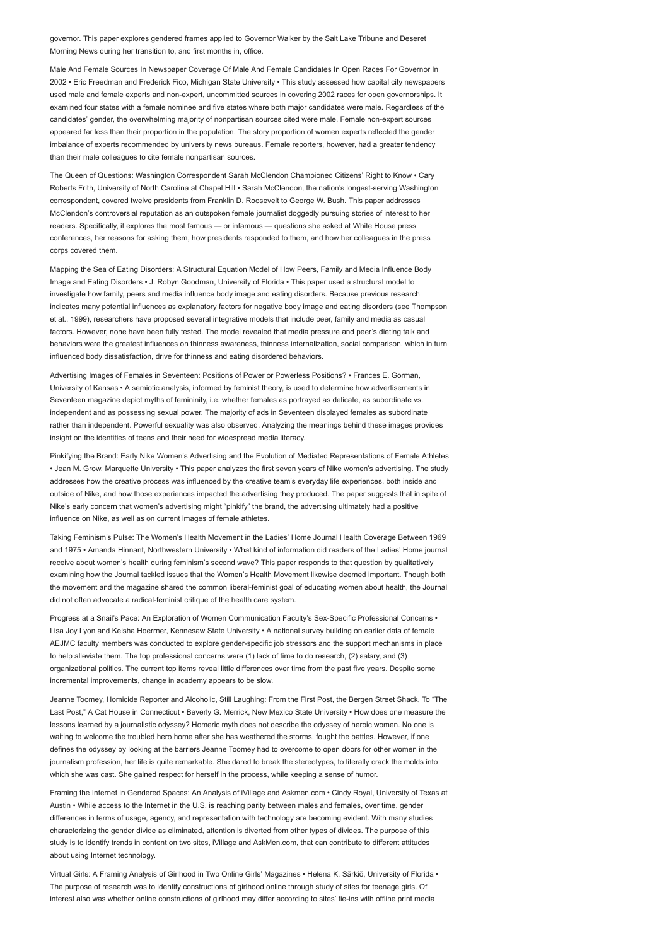governor. This paper explores gendered frames applied to Governor Walker by the Salt Lake Tribune and Deseret Morning News during her transition to, and first months in, office.

Male And Female Sources In Newspaper Coverage Of Male And Female Candidates In Open Races For Governor In 2002 • Eric Freedman and Frederick Fico, Michigan State University • This study assessed how capital city newspapers used male and female experts and non-expert, uncommitted sources in covering 2002 races for open governorships. It examined four states with a female nominee and five states where both major candidates were male. Regardless of the candidates' gender, the overwhelming majority of nonpartisan sources cited were male. Female non-expert sources appeared far less than their proportion in the population. The story proportion of women experts reflected the gender imbalance of experts recommended by university news bureaus. Female reporters, however, had a greater tendency than their male colleagues to cite female nonpartisan sources.

The Queen of Questions: Washington Correspondent Sarah McClendon Championed Citizens' Right to Know • Cary Roberts Frith, University of North Carolina at Chapel Hill • Sarah McClendon, the nation's longest-serving Washington correspondent, covered twelve presidents from Franklin D. Roosevelt to George W. Bush. This paper addresses McClendon's controversial reputation as an outspoken female journalist doggedly pursuing stories of interest to her readers. Specifically, it explores the most famous — or infamous — questions she asked at White House press conferences, her reasons for asking them, how presidents responded to them, and how her colleagues in the press corps covered them.

Mapping the Sea of Eating Disorders: A Structural Equation Model of How Peers, Family and Media Influence Body Image and Eating Disorders • J. Robyn Goodman, University of Florida • This paper used a structural model to investigate how family, peers and media influence body image and eating disorders. Because previous research indicates many potential influences as explanatory factors for negative body image and eating disorders (see Thompson et al., 1999), researchers have proposed several integrative models that include peer, family and media as casual factors. However, none have been fully tested. The model revealed that media pressure and peer's dieting talk and behaviors were the greatest influences on thinness awareness, thinness internalization, social comparison, which in turn influenced body dissatisfaction, drive for thinness and eating disordered behaviors.

Advertising Images of Females in Seventeen: Positions of Power or Powerless Positions? • Frances E. Gorman, University of Kansas • A semiotic analysis, informed by feminist theory, is used to determine how advertisements in Seventeen magazine depict myths of femininity, i.e. whether females as portrayed as delicate, as subordinate vs. independent and as possessing sexual power. The majority of ads in Seventeen displayed females as subordinate rather than independent. Powerful sexuality was also observed. Analyzing the meanings behind these images provides insight on the identities of teens and their need for widespread media literacy.

Pinkifying the Brand: Early Nike Women's Advertising and the Evolution of Mediated Representations of Female Athletes • Jean M. Grow, Marquette University • This paper analyzes the first seven years of Nike women's advertising. The study addresses how the creative process was influenced by the creative team's everyday life experiences, both inside and outside of Nike, and how those experiences impacted the advertising they produced. The paper suggests that in spite of Nike's early concern that women's advertising might "pinkify" the brand, the advertising ultimately had a positive influence on Nike, as well as on current images of female athletes.

Taking Feminism's Pulse: The Women's Health Movement in the Ladies' Home Journal Health Coverage Between 1969 and 1975 • Amanda Hinnant, Northwestern University • What kind of information did readers of the Ladies' Home journal receive about women's health during feminism's second wave? This paper responds to that question by qualitatively examining how the Journal tackled issues that the Women's Health Movement likewise deemed important. Though both the movement and the magazine shared the common liberal-feminist goal of educating women about health, the Journal did not often advocate a radical-feminist critique of the health care system.

Progress at a Snail's Pace: An Exploration of Women Communication Faculty's Sex-Specific Professional Concerns • Lisa Joy Lyon and Keisha Hoerrner, Kennesaw State University • A national survey building on earlier data of female AEJMC faculty members was conducted to explore gender-specific job stressors and the support mechanisms in place to help alleviate them. The top professional concerns were (1) lack of time to do research, (2) salary, and (3) organizational politics. The current top items reveal little differences over time from the past five years. Despite some incremental improvements, change in academy appears to be slow.

Jeanne Toomey, Homicide Reporter and Alcoholic, Still Laughing: From the First Post, the Bergen Street Shack, To "The Last Post," A Cat House in Connecticut • Beverly G. Merrick, New Mexico State University • How does one measure the lessons learned by a journalistic odyssey? Homeric myth does not describe the odyssey of heroic women. No one is waiting to welcome the troubled hero home after she has weathered the storms, fought the battles. However, if one defines the odyssey by looking at the barriers Jeanne Toomey had to overcome to open doors for other women in the journalism profession, her life is quite remarkable. She dared to break the stereotypes, to literally crack the molds into which she was cast. She gained respect for herself in the process, while keeping a sense of humor.

Framing the Internet in Gendered Spaces: An Analysis of iVillage and Askmen.com • Cindy Royal, University of Texas at Austin • While access to the Internet in the U.S. is reaching parity between males and females, over time, gender differences in terms of usage, agency, and representation with technology are becoming evident. With many studies characterizing the gender divide as eliminated, attention is diverted from other types of divides. The purpose of this study is to identify trends in content on two sites, iVillage and AskMen.com, that can contribute to different attitudes about using Internet technology.

Virtual Girls: A Framing Analysis of Girlhood in Two Online Girls' Magazines • Helena K. Särkiö, University of Florida • The purpose of research was to identify constructions of girlhood online through study of sites for teenage girls. Of interest also was whether online constructions of girlhood may differ according to sites' tie-ins with offline print media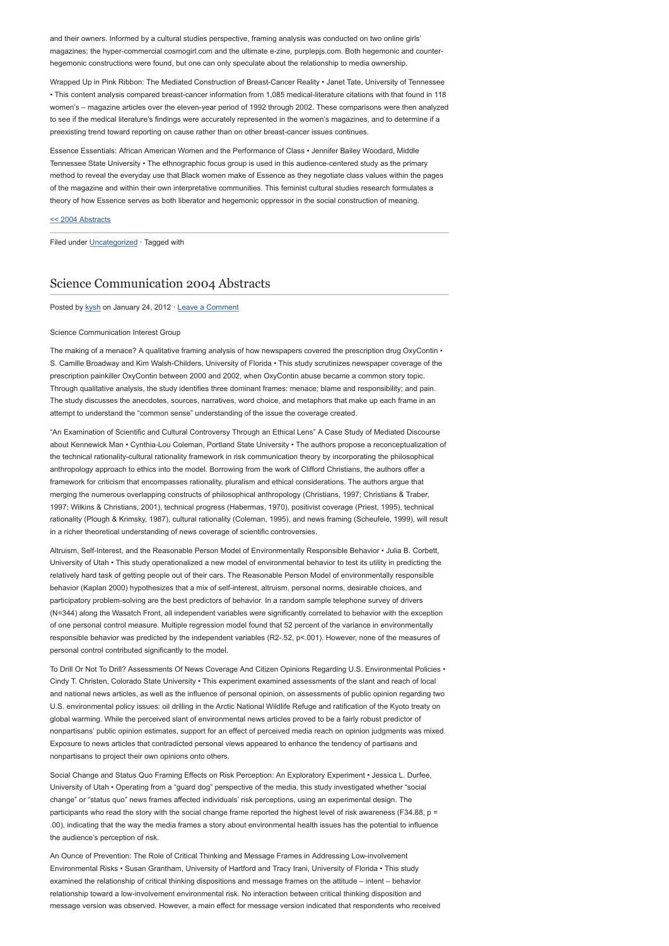and their owners. Informed by a cultural studies perspective, framing analysis was conducted on two online girls' magazines; the hyper-commercial cosmogirl.com and the ultimate e-zine, purplepjs.com. Both hegemonic and counterhegemonic constructions were found, but one can only speculate about the relationship to media ownership.

Wrapped Up in Pink Ribbon: The Mediated Construction of Breast-Cancer Reality • Janet Tate, University of Tennessee • This content analysis compared breast-cancer information from 1,085 medical-literature citations with that found in 118 women's – magazine articles over the eleven-year period of 1992 through 2002. These comparisons were then analyzed to see if the medical literature's findings were accurately represented in the women's magazines, and to determine if a preexisting trend toward reporting on cause rather than on other breast-cancer issues continues.

Essence Essentials: African American Women and the Performance of Class • Jennifer Bailey Woodard, Middle Tennessee State University • The ethnographic focus group is used in this audience-centered study as the primary method to reveal the everyday use that Black women make of Essence as they negotiate class values within the pages of the magazine and within their own interpretative communities. This feminist cultural studies research formulates a theory of how Essence serves as both liberator and hegemonic oppressor in the social construction of meaning.

# [<< 2004 Abstracts](http://www.aejmc.com/home/2011/03/2004-abstracts/)

Filed under [Uncategorized](http://www.aejmc.org/home/category/uncategorized/) · Tagged with

# [Science Communication 2004 Abstracts](http://www.aejmc.org/home/2012/01/sci-2004-abstracts/)

Posted by [kysh](http://www.aejmc.org/home/author/kyshiab/) on January 24, 2012 · [Leave a Comment](http://www.aejmc.org/home/2012/01/sci-2004-abstracts/#respond)

### Science Communication Interest Group

The making of a menace? A qualitative framing analysis of how newspapers covered the prescription drug OxyContin • S. Camille Broadway and Kim Walsh-Childers, University of Florida • This study scrutinizes newspaper coverage of the prescription painkiller OxyContin between 2000 and 2002, when OxyContin abuse became a common story topic. Through qualitative analysis, the study identifies three dominant frames: menace; blame and responsibility; and pain. The study discusses the anecdotes, sources, narratives, word choice, and metaphors that make up each frame in an attempt to understand the "common sense" understanding of the issue the coverage created.

"An Examination of Scientific and Cultural Controversy Through an Ethical Lens" A Case Study of Mediated Discourse about Kennewick Man • Cynthia-Lou Coleman, Portland State University • The authors propose a reconceptualization of the technical rationality-cultural rationality framework in risk communication theory by incorporating the philosophical anthropology approach to ethics into the model. Borrowing from the work of Clifford Christians, the authors offer a framework for criticism that encompasses rationality, pluralism and ethical considerations. The authors argue that merging the numerous overlapping constructs of philosophical anthropology (Christians, 1997; Christians & Traber, 1997; Wilkins & Christians, 2001), technical progress (Habermas, 1970), positivist coverage (Priest, 1995), technical rationality (Plough & Krimsky, 1987), cultural rationality (Coleman, 1995), and news framing (Scheufele, 1999), will result in a richer theoretical understanding of news coverage of scientific controversies.

Altruism, Self-Interest, and the Reasonable Person Model of Environmentally Responsible Behavior • Julia B. Corbett, University of Utah • This study operationalized a new model of environmental behavior to test its utility in predicting the relatively hard task of getting people out of their cars. The Reasonable Person Model of environmentally responsible behavior (Kaplan 2000) hypothesizes that a mix of self-interest, altruism, personal norms, desirable choices, and participatory problem-solving are the best predictors of behavior. In a random sample telephone survey of drivers (N=344) along the Wasatch Front, all independent variables were significantly correlated to behavior with the exception of one personal control measure. Multiple regression model found that 52 percent of the variance in environmentally responsible behavior was predicted by the independent variables (R2-.52, p<.001). However, none of the measures of personal control contributed significantly to the model

To Drill Or Not To Drill? Assessments Of News Coverage And Citizen Opinions Regarding U.S. Environmental Policies • Cindy T. Christen, Colorado State University • This experiment examined assessments of the slant and reach of local and national news articles, as well as the influence of personal opinion, on assessments of public opinion regarding two U.S. environmental policy issues: oil drilling in the Arctic National Wildlife Refuge and ratification of the Kyoto treaty on global warming. While the perceived slant of environmental news articles proved to be a fairly robust predictor of nonpartisans' public opinion estimates, support for an effect of perceived media reach on opinion judgments was mixed. Exposure to news articles that contradicted personal views appeared to enhance the tendency of partisans and nonpartisans to project their own opinions onto others.

Social Change and Status Quo Framing Effects on Risk Perception: An Exploratory Experiment • Jessica L. Durfee, University of Utah • Operating from a "guard dog" perspective of the media, this study investigated whether "social change" or "status quo" news frames affected individuals' risk perceptions, using an experimental design. The participants who read the story with the social change frame reported the highest level of risk awareness (F34.88, p = .00), indicating that the way the media frames a story about environmental health issues has the potential to influence the audience's perception of risk.

An Ounce of Prevention: The Role of Critical Thinking and Message Frames in Addressing Low-involvement Environmental Risks • Susan Grantham, University of Hartford and Tracy Irani, University of Florida • This study examined the relationship of critical thinking dispositions and message frames on the attitude – intent – behavior relationship toward a low-involvement environmental risk. No interaction between critical thinking disposition and message version was observed. However, a main effect for message version indicated that respondents who received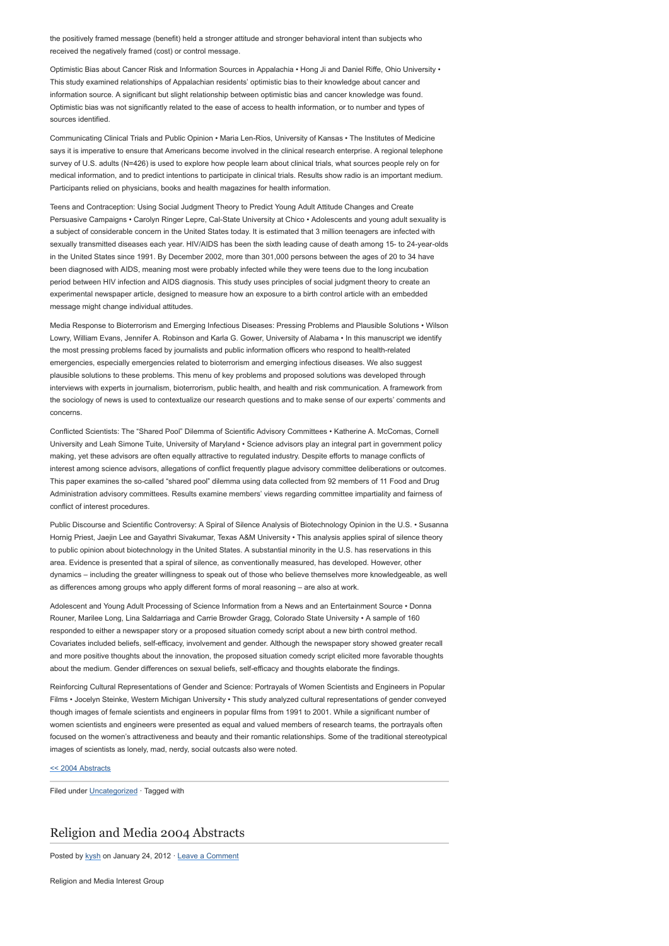the positively framed message (benefit) held a stronger attitude and stronger behavioral intent than subjects who received the negatively framed (cost) or control message.

Optimistic Bias about Cancer Risk and Information Sources in Appalachia • Hong Ji and Daniel Riffe, Ohio University • This study examined relationships of Appalachian residents' optimistic bias to their knowledge about cancer and information source. A significant but slight relationship between optimistic bias and cancer knowledge was found. Optimistic bias was not significantly related to the ease of access to health information, or to number and types of sources identified.

Communicating Clinical Trials and Public Opinion • Maria Len-Rios, University of Kansas • The Institutes of Medicine says it is imperative to ensure that Americans become involved in the clinical research enterprise. A regional telephone survey of U.S. adults (N=426) is used to explore how people learn about clinical trials, what sources people rely on for medical information, and to predict intentions to participate in clinical trials. Results show radio is an important medium. Participants relied on physicians, books and health magazines for health information.

Teens and Contraception: Using Social Judgment Theory to Predict Young Adult Attitude Changes and Create Persuasive Campaigns • Carolyn Ringer Lepre, Cal-State University at Chico • Adolescents and young adult sexuality is a subject of considerable concern in the United States today. It is estimated that 3 million teenagers are infected with sexually transmitted diseases each year. HIV/AIDS has been the sixth leading cause of death among 15- to 24-year-olds in the United States since 1991. By December 2002, more than 301,000 persons between the ages of 20 to 34 have been diagnosed with AIDS, meaning most were probably infected while they were teens due to the long incubation period between HIV infection and AIDS diagnosis. This study uses principles of social judgment theory to create an experimental newspaper article, designed to measure how an exposure to a birth control article with an embedded message might change individual attitudes.

Media Response to Bioterrorism and Emerging Infectious Diseases: Pressing Problems and Plausible Solutions • Wilson Lowry, William Evans, Jennifer A. Robinson and Karla G. Gower, University of Alabama • In this manuscript we identify the most pressing problems faced by journalists and public information officers who respond to health-related emergencies, especially emergencies related to bioterrorism and emerging infectious diseases. We also suggest plausible solutions to these problems. This menu of key problems and proposed solutions was developed through interviews with experts in journalism, bioterrorism, public health, and health and risk communication. A framework from the sociology of news is used to contextualize our research questions and to make sense of our experts' comments and concerns.

Conflicted Scientists: The "Shared Pool" Dilemma of Scientific Advisory Committees • Katherine A. McComas, Cornell University and Leah Simone Tuite, University of Maryland • Science advisors play an integral part in government policy making, yet these advisors are often equally attractive to regulated industry. Despite efforts to manage conflicts of interest among science advisors, allegations of conflict frequently plague advisory committee deliberations or outcomes. This paper examines the so-called "shared pool" dilemma using data collected from 92 members of 11 Food and Drug Administration advisory committees. Results examine members' views regarding committee impartiality and fairness of conflict of interest procedures.

Public Discourse and Scientific Controversy: A Spiral of Silence Analysis of Biotechnology Opinion in the U.S. • Susanna Hornig Priest, Jaejin Lee and Gayathri Sivakumar, Texas A&M University • This analysis applies spiral of silence theory to public opinion about biotechnology in the United States. A substantial minority in the U.S. has reservations in this area. Evidence is presented that a spiral of silence, as conventionally measured, has developed. However, other dynamics – including the greater willingness to speak out of those who believe themselves more knowledgeable, as well as differences among groups who apply different forms of moral reasoning – are also at work.

Adolescent and Young Adult Processing of Science Information from a News and an Entertainment Source • Donna Rouner, Marilee Long, Lina Saldarriaga and Carrie Browder Gragg, Colorado State University • A sample of 160 responded to either a newspaper story or a proposed situation comedy script about a new birth control method. Covariates included beliefs, self-efficacy, involvement and gender. Although the newspaper story showed greater recall and more positive thoughts about the innovation, the proposed situation comedy script elicited more favorable thoughts about the medium. Gender differences on sexual beliefs, self-efficacy and thoughts elaborate the findings.

Reinforcing Cultural Representations of Gender and Science: Portrayals of Women Scientists and Engineers in Popular Films • Jocelyn Steinke, Western Michigan University • This study analyzed cultural representations of gender conveyed though images of female scientists and engineers in popular films from 1991 to 2001. While a significant number of women scientists and engineers were presented as equal and valued members of research teams, the portrayals often focused on the women's attractiveness and beauty and their romantic relationships. Some of the traditional stereotypical images of scientists as lonely, mad, nerdy, social outcasts also were noted.

# [<< 2004 Abstracts](http://www.aejmc.com/home/2011/03/2004-abstracts/)

Filed under [Uncategorized](http://www.aejmc.org/home/category/uncategorized/) · Tagged with

# [Religion and Media 2004 Abstracts](http://www.aejmc.org/home/2012/01/rmig-2004-abstracts/)

Posted by [kysh](http://www.aejmc.org/home/author/kyshiab/) on January 24, 2012 · [Leave a Comment](http://www.aejmc.org/home/2012/01/rmig-2004-abstracts/#respond)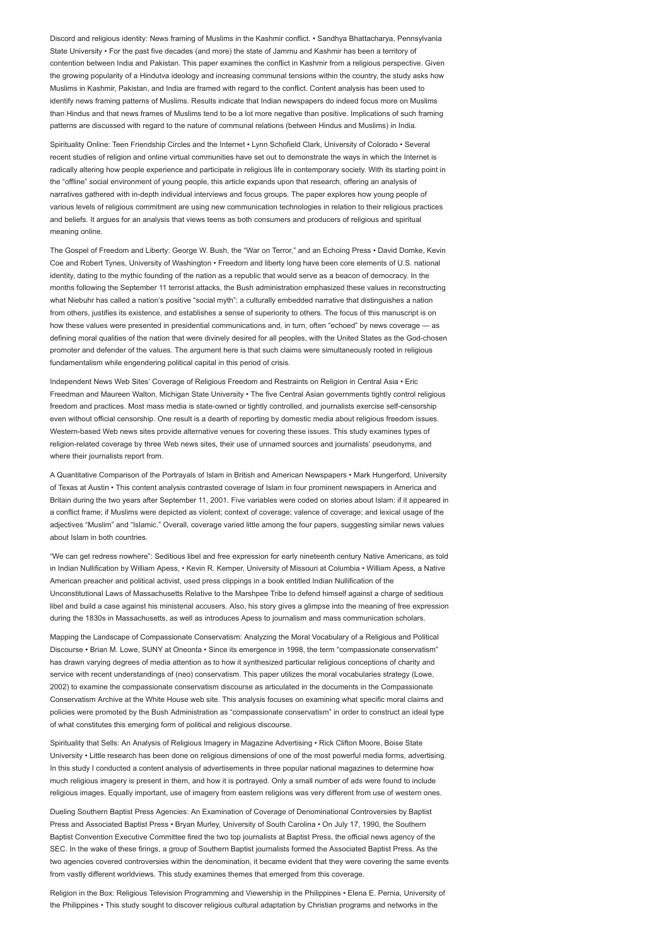Discord and religious identity: News framing of Muslims in the Kashmir conflict. • Sandhya Bhattacharya, Pennsylvania State University • For the past five decades (and more) the state of Jammu and Kashmir has been a territory of contention between India and Pakistan. This paper examines the conflict in Kashmir from a religious perspective. Given the growing popularity of a Hindutva ideology and increasing communal tensions within the country, the study asks how Muslims in Kashmir, Pakistan, and India are framed with regard to the conflict. Content analysis has been used to identify news framing patterns of Muslims. Results indicate that Indian newspapers do indeed focus more on Muslims than Hindus and that news frames of Muslims tend to be a lot more negative than positive. Implications of such framing patterns are discussed with regard to the nature of communal relations (between Hindus and Muslims) in India.

Spirituality Online: Teen Friendship Circles and the Internet • Lynn Schofield Clark, University of Colorado • Several recent studies of religion and online virtual communities have set out to demonstrate the ways in which the Internet is radically altering how people experience and participate in religious life in contemporary society. With its starting point in the "offline" social environment of young people, this article expands upon that research, offering an analysis of narratives gathered with in-depth individual interviews and focus groups. The paper explores how young people of various levels of religious commitment are using new communication technologies in relation to their religious practices and beliefs. It argues for an analysis that views teens as both consumers and producers of religious and spiritual meaning online.

The Gospel of Freedom and Liberty: George W. Bush, the "War on Terror," and an Echoing Press • David Domke, Kevin Coe and Robert Tynes, University of Washington • Freedom and liberty long have been core elements of U.S. national identity, dating to the mythic founding of the nation as a republic that would serve as a beacon of democracy. In the months following the September 11 terrorist attacks, the Bush administration emphasized these values in reconstructing what Niebuhr has called a nation's positive "social myth": a culturally embedded narrative that distinguishes a nation from others, justifies its existence, and establishes a sense of superiority to others. The focus of this manuscript is on how these values were presented in presidential communications and, in turn, often "echoed" by news coverage — as defining moral qualities of the nation that were divinely desired for all peoples, with the United States as the God-chosen promoter and defender of the values. The argument here is that such claims were simultaneously rooted in religious fundamentalism while engendering political capital in this period of crisis.

Independent News Web Sites' Coverage of Religious Freedom and Restraints on Religion in Central Asia • Eric Freedman and Maureen Walton, Michigan State University • The five Central Asian governments tightly control religious freedom and practices. Most mass media is state-owned or tightly controlled, and journalists exercise self-censorship even without official censorship. One result is a dearth of reporting by domestic media about religious freedom issues. Western-based Web news sites provide alternative venues for covering these issues. This study examines types of religion-related coverage by three Web news sites, their use of unnamed sources and journalists' pseudonyms, and where their journalists report from.

A Quantitative Comparison of the Portrayals of Islam in British and American Newspapers • Mark Hungerford, University of Texas at Austin • This content analysis contrasted coverage of Islam in four prominent newspapers in America and Britain during the two years after September 11, 2001. Five variables were coded on stories about Islam: if it appeared in a conflict frame; if Muslims were depicted as violent; context of coverage; valence of coverage; and lexical usage of the adjectives "Muslim" and "Islamic." Overall, coverage varied little among the four papers, suggesting similar news values about Islam in both countries.

"We can get redress nowhere": Seditious libel and free expression for early nineteenth century Native Americans, as told in Indian Nullification by William Apess, • Kevin R. Kemper, University of Missouri at Columbia • William Apess, a Native American preacher and political activist, used press clippings in a book entitled Indian Nullification of the Unconstitutional Laws of Massachusetts Relative to the Marshpee Tribe to defend himself against a charge of seditious libel and build a case against his ministerial accusers. Also, his story gives a glimpse into the meaning of free expression during the 1830s in Massachusetts, as well as introduces Apess to journalism and mass communication scholars.

Mapping the Landscape of Compassionate Conservatism: Analyzing the Moral Vocabulary of a Religious and Political Discourse • Brian M. Lowe, SUNY at Oneonta • Since its emergence in 1998, the term "compassionate conservatism" has drawn varying degrees of media attention as to how it synthesized particular religious conceptions of charity and service with recent understandings of (neo) conservatism. This paper utilizes the moral vocabularies strategy (Lowe, 2002) to examine the compassionate conservatism discourse as articulated in the documents in the Compassionate Conservatism Archive at the White House web site. This analysis focuses on examining what specific moral claims and policies were promoted by the Bush Administration as "compassionate conservatism" in order to construct an ideal type of what constitutes this emerging form of political and religious discourse.

Spirituality that Sells: An Analysis of Religious Imagery in Magazine Advertising • Rick Clifton Moore, Boise State University • Little research has been done on religious dimensions of one of the most powerful media forms, advertising. In this study I conducted a content analysis of advertisements in three popular national magazines to determine how much religious imagery is present in them, and how it is portrayed. Only a small number of ads were found to include religious images. Equally important, use of imagery from eastern religions was very different from use of western ones.

Dueling Southern Baptist Press Agencies: An Examination of Coverage of Denominational Controversies by Baptist Press and Associated Baptist Press • Bryan Murley, University of South Carolina • On July 17, 1990, the Southern Baptist Convention Executive Committee fired the two top journalists at Baptist Press, the official news agency of the SEC. In the wake of these firings, a group of Southern Baptist journalists formed the Associated Baptist Press. As the two agencies covered controversies within the denomination, it became evident that they were covering the same events from vastly different worldviews. This study examines themes that emerged from this coverage.

Religion in the Box: Religious Television Programming and Viewership in the Philippines • Elena E. Pernia, University of the Philippines • This study sought to discover religious cultural adaptation by Christian programs and networks in the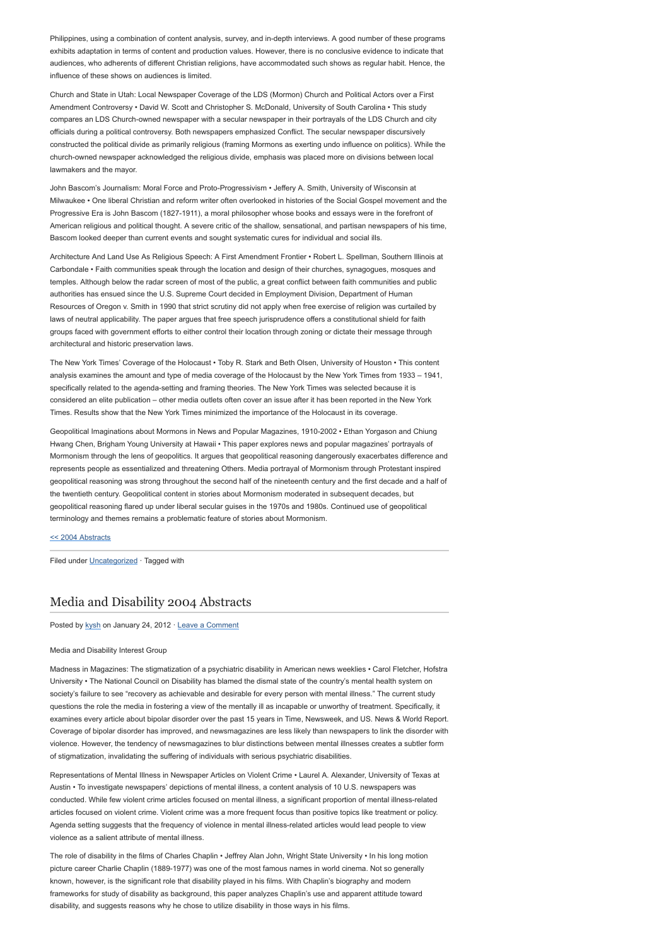Philippines, using a combination of content analysis, survey, and in-depth interviews. A good number of these programs exhibits adaptation in terms of content and production values. However, there is no conclusive evidence to indicate that audiences, who adherents of different Christian religions, have accommodated such shows as regular habit. Hence, the influence of these shows on audiences is limited.

Church and State in Utah: Local Newspaper Coverage of the LDS (Mormon) Church and Political Actors over a First Amendment Controversy • David W. Scott and Christopher S. McDonald, University of South Carolina • This study compares an LDS Church-owned newspaper with a secular newspaper in their portrayals of the LDS Church and city officials during a political controversy. Both newspapers emphasized Conflict. The secular newspaper discursively constructed the political divide as primarily religious (framing Mormons as exerting undo influence on politics). While the church-owned newspaper acknowledged the religious divide, emphasis was placed more on divisions between local lawmakers and the mayor.

John Bascom's Journalism: Moral Force and Proto-Progressivism • Jeffery A. Smith, University of Wisconsin at Milwaukee • One liberal Christian and reform writer often overlooked in histories of the Social Gospel movement and the Progressive Era is John Bascom (1827-1911), a moral philosopher whose books and essays were in the forefront of American religious and political thought. A severe critic of the shallow, sensational, and partisan newspapers of his time, Bascom looked deeper than current events and sought systematic cures for individual and social ills.

Architecture And Land Use As Religious Speech: A First Amendment Frontier • Robert L. Spellman, Southern Illinois at Carbondale • Faith communities speak through the location and design of their churches, synagogues, mosques and temples. Although below the radar screen of most of the public, a great conflict between faith communities and public authorities has ensued since the U.S. Supreme Court decided in Employment Division, Department of Human Resources of Oregon v. Smith in 1990 that strict scrutiny did not apply when free exercise of religion was curtailed by laws of neutral applicability. The paper argues that free speech jurisprudence offers a constitutional shield for faith groups faced with government efforts to either control their location through zoning or dictate their message through architectural and historic preservation laws.

The New York Times' Coverage of the Holocaust • Toby R. Stark and Beth Olsen, University of Houston • This content analysis examines the amount and type of media coverage of the Holocaust by the New York Times from 1933 – 1941, specifically related to the agenda-setting and framing theories. The New York Times was selected because it is considered an elite publication – other media outlets often cover an issue after it has been reported in the New York Times. Results show that the New York Times minimized the importance of the Holocaust in its coverage.

Geopolitical Imaginations about Mormons in News and Popular Magazines, 1910-2002 • Ethan Yorgason and Chiung Hwang Chen, Brigham Young University at Hawaii • This paper explores news and popular magazines' portrayals of Mormonism through the lens of geopolitics. It argues that geopolitical reasoning dangerously exacerbates difference and represents people as essentialized and threatening Others. Media portrayal of Mormonism through Protestant inspired geopolitical reasoning was strong throughout the second half of the nineteenth century and the first decade and a half of the twentieth century. Geopolitical content in stories about Mormonism moderated in subsequent decades, but geopolitical reasoning flared up under liberal secular guises in the 1970s and 1980s. Continued use of geopolitical terminology and themes remains a problematic feature of stories about Mormonism.

#### [<< 2004 Abstracts](http://www.aejmc.com/home/2011/03/2004-abstracts/)

Filed under [Uncategorized](http://www.aejmc.org/home/category/uncategorized/) · Tagged with

# [Media and Disability 2004 Abstracts](http://www.aejmc.org/home/2012/01/mdig-2004-abstracts/)

Posted by [kysh](http://www.aejmc.org/home/author/kyshiab/) on January 24, 2012 · [Leave a Comment](http://www.aejmc.org/home/2012/01/mdig-2004-abstracts/#respond)

## Media and Disability Interest Group

Madness in Magazines: The stigmatization of a psychiatric disability in American news weeklies • Carol Fletcher, Hofstra University • The National Council on Disability has blamed the dismal state of the country's mental health system on society's failure to see "recovery as achievable and desirable for every person with mental illness." The current study questions the role the media in fostering a view of the mentally ill as incapable or unworthy of treatment. Specifically, it examines every article about bipolar disorder over the past 15 years in Time, Newsweek, and US. News & World Report. Coverage of bipolar disorder has improved, and newsmagazines are less likely than newspapers to link the disorder with violence. However, the tendency of newsmagazines to blur distinctions between mental illnesses creates a subtler form of stigmatization, invalidating the suffering of individuals with serious psychiatric disabilities.

Representations of Mental Illness in Newspaper Articles on Violent Crime • Laurel A. Alexander, University of Texas at Austin • To investigate newspapers' depictions of mental illness, a content analysis of 10 U.S. newspapers was conducted. While few violent crime articles focused on mental illness, a significant proportion of mental illness-related articles focused on violent crime. Violent crime was a more frequent focus than positive topics like treatment or policy. Agenda setting suggests that the frequency of violence in mental illness-related articles would lead people to view violence as a salient attribute of mental illness.

The role of disability in the films of Charles Chaplin • Jeffrey Alan John, Wright State University • In his long motion picture career Charlie Chaplin (1889-1977) was one of the most famous names in world cinema. Not so generally known, however, is the significant role that disability played in his films. With Chaplin's biography and modern frameworks for study of disability as background, this paper analyzes Chaplin's use and apparent attitude toward disability, and suggests reasons why he chose to utilize disability in those ways in his films.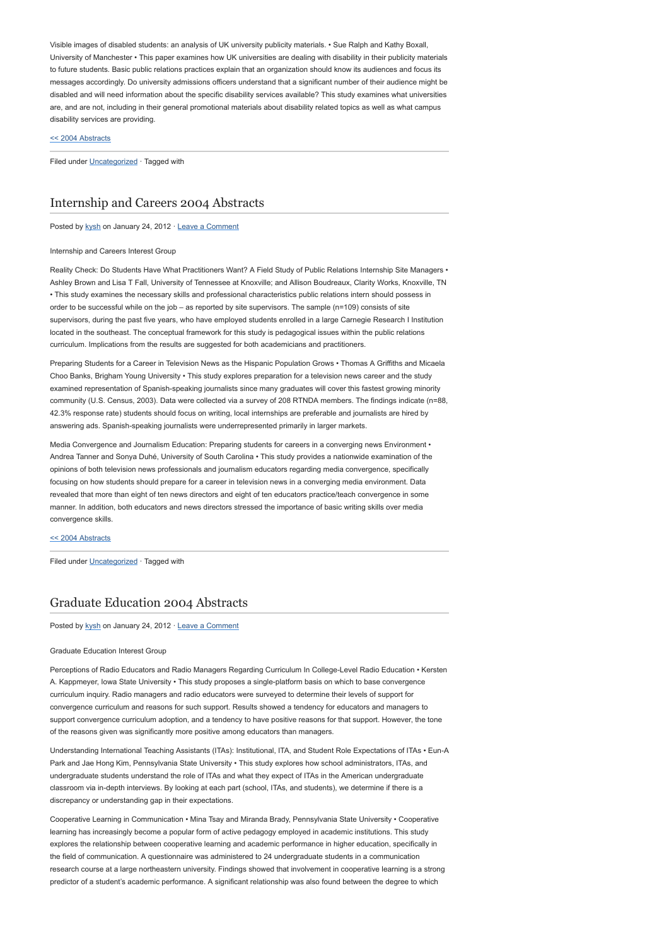Visible images of disabled students: an analysis of UK university publicity materials. • Sue Ralph and Kathy Boxall, University of Manchester • This paper examines how UK universities are dealing with disability in their publicity materials to future students. Basic public relations practices explain that an organization should know its audiences and focus its messages accordingly. Do university admissions officers understand that a significant number of their audience might be disabled and will need information about the specific disability services available? This study examines what universities are, and are not, including in their general promotional materials about disability related topics as well as what campus disability services are providing.

# [<< 2004 Abstracts](http://www.aejmc.com/home/2011/03/2004-abstracts/)

Filed under [Uncategorized](http://www.aejmc.org/home/category/uncategorized/) · Tagged with

# [Internship and Careers 2004 Abstracts](http://www.aejmc.org/home/2012/01/icig-2004-abstracts/)

Posted by [kysh](http://www.aejmc.org/home/author/kyshiab/) on January 24, 2012 · [Leave a Comment](http://www.aejmc.org/home/2012/01/icig-2004-abstracts/#respond)

#### Internship and Careers Interest Group

Reality Check: Do Students Have What Practitioners Want? A Field Study of Public Relations Internship Site Managers • Ashley Brown and Lisa T Fall, University of Tennessee at Knoxville; and Allison Boudreaux, Clarity Works, Knoxville, TN • This study examines the necessary skills and professional characteristics public relations intern should possess in order to be successful while on the job – as reported by site supervisors. The sample (n=109) consists of site supervisors, during the past five years, who have employed students enrolled in a large Carnegie Research I Institution located in the southeast. The conceptual framework for this study is pedagogical issues within the public relations curriculum. Implications from the results are suggested for both academicians and practitioners.

Preparing Students for a Career in Television News as the Hispanic Population Grows • Thomas A Griffiths and Micaela Choo Banks, Brigham Young University • This study explores preparation for a television news career and the study examined representation of Spanish-speaking journalists since many graduates will cover this fastest growing minority community (U.S. Census, 2003). Data were collected via a survey of 208 RTNDA members. The findings indicate (n=88, 42.3% response rate) students should focus on writing, local internships are preferable and journalists are hired by answering ads. Spanish-speaking journalists were underrepresented primarily in larger markets.

Media Convergence and Journalism Education: Preparing students for careers in a converging news Environment • Andrea Tanner and Sonya Duhé, University of South Carolina • This study provides a nationwide examination of the opinions of both television news professionals and journalism educators regarding media convergence, specifically focusing on how students should prepare for a career in television news in a converging media environment. Data revealed that more than eight of ten news directors and eight of ten educators practice/teach convergence in some manner. In addition, both educators and news directors stressed the importance of basic writing skills over media convergence skills.

#### [<< 2004 Abstracts](http://www.aejmc.com/home/2011/03/2004-abstracts/)

Filed under [Uncategorized](http://www.aejmc.org/home/category/uncategorized/) · Tagged with

# [Graduate Education 2004 Abstracts](http://www.aejmc.org/home/2012/01/geig-2004-abstracts/)

Posted by [kysh](http://www.aejmc.org/home/author/kyshiab/) on January 24, 2012 · [Leave a Comment](http://www.aejmc.org/home/2012/01/geig-2004-abstracts/#respond)

#### Graduate Education Interest Group

Perceptions of Radio Educators and Radio Managers Regarding Curriculum In College-Level Radio Education • Kersten A. Kappmeyer, Iowa State University • This study proposes a single-platform basis on which to base convergence curriculum inquiry. Radio managers and radio educators were surveyed to determine their levels of support for convergence curriculum and reasons for such support. Results showed a tendency for educators and managers to support convergence curriculum adoption, and a tendency to have positive reasons for that support. However, the tone of the reasons given was significantly more positive among educators than managers.

Understanding International Teaching Assistants (ITAs): Institutional, ITA, and Student Role Expectations of ITAs • Eun-A Park and Jae Hong Kim, Pennsylvania State University • This study explores how school administrators, ITAs, and undergraduate students understand the role of ITAs and what they expect of ITAs in the American undergraduate classroom via in-depth interviews. By looking at each part (school, ITAs, and students), we determine if there is a discrepancy or understanding gap in their expectations.

Cooperative Learning in Communication • Mina Tsay and Miranda Brady, Pennsylvania State University • Cooperative learning has increasingly become a popular form of active pedagogy employed in academic institutions. This study explores the relationship between cooperative learning and academic performance in higher education, specifically in the field of communication. A questionnaire was administered to 24 undergraduate students in a communication research course at a large northeastern university. Findings showed that involvement in cooperative learning is a strong predictor of a student's academic performance. A significant relationship was also found between the degree to which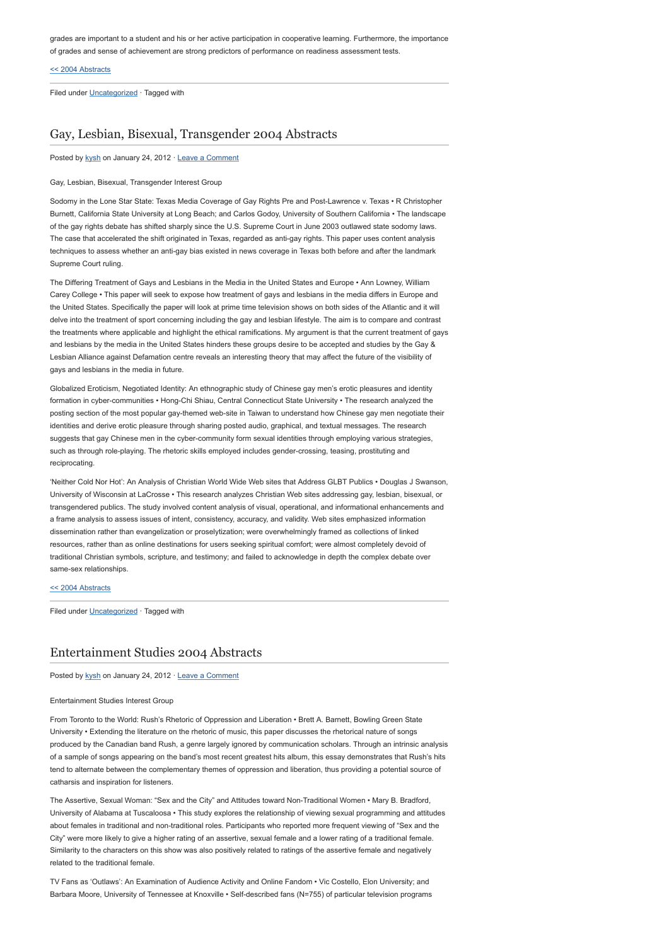grades are important to a student and his or her active participation in cooperative learning. Furthermore, the importance of grades and sense of achievement are strong predictors of performance on readiness assessment tests.

## [<< 2004 Abstracts](http://www.aejmc.com/home/2011/03/2004-abstracts/)

Filed under [Uncategorized](http://www.aejmc.org/home/category/uncategorized/) · Tagged with

# [Gay, Lesbian, Bisexual, Transgender 2004 Abstracts](http://www.aejmc.org/home/2012/01/glbt-2004-abstracts/)

Posted by [kysh](http://www.aejmc.org/home/author/kyshiab/) on January 24, 2012 · [Leave a Comment](http://www.aejmc.org/home/2012/01/glbt-2004-abstracts/#respond)

## Gay, Lesbian, Bisexual, Transgender Interest Group

Sodomy in the Lone Star State: Texas Media Coverage of Gay Rights Pre and Post-Lawrence v. Texas • R Christopher Burnett, California State University at Long Beach; and Carlos Godoy, University of Southern California • The landscape of the gay rights debate has shifted sharply since the U.S. Supreme Court in June 2003 outlawed state sodomy laws. The case that accelerated the shift originated in Texas, regarded as anti-gay rights. This paper uses content analysis techniques to assess whether an anti-gay bias existed in news coverage in Texas both before and after the landmark Supreme Court ruling.

The Differing Treatment of Gays and Lesbians in the Media in the United States and Europe • Ann Lowney, William Carey College • This paper will seek to expose how treatment of gays and lesbians in the media differs in Europe and the United States. Specifically the paper will look at prime time television shows on both sides of the Atlantic and it will delve into the treatment of sport concerning including the gay and lesbian lifestyle. The aim is to compare and contrast the treatments where applicable and highlight the ethical ramifications. My argument is that the current treatment of gays and lesbians by the media in the United States hinders these groups desire to be accepted and studies by the Gay & Lesbian Alliance against Defamation centre reveals an interesting theory that may affect the future of the visibility of gays and lesbians in the media in future.

Globalized Eroticism, Negotiated Identity: An ethnographic study of Chinese gay men's erotic pleasures and identity formation in cyber-communities • Hong-Chi Shiau, Central Connecticut State University • The research analyzed the posting section of the most popular gay-themed web-site in Taiwan to understand how Chinese gay men negotiate their identities and derive erotic pleasure through sharing posted audio, graphical, and textual messages. The research suggests that gay Chinese men in the cyber-community form sexual identities through employing various strategies, such as through role-playing. The rhetoric skills employed includes gender-crossing, teasing, prostituting and reciprocating.

'Neither Cold Nor Hot': An Analysis of Christian World Wide Web sites that Address GLBT Publics • Douglas J Swanson, University of Wisconsin at LaCrosse • This research analyzes Christian Web sites addressing gay, lesbian, bisexual, or transgendered publics. The study involved content analysis of visual, operational, and informational enhancements and a frame analysis to assess issues of intent, consistency, accuracy, and validity. Web sites emphasized information dissemination rather than evangelization or proselytization; were overwhelmingly framed as collections of linked resources, rather than as online destinations for users seeking spiritual comfort; were almost completely devoid of traditional Christian symbols, scripture, and testimony; and failed to acknowledge in depth the complex debate over same-sex relationships.

#### [<< 2004 Abstracts](http://www.aejmc.com/home/2011/03/2004-abstracts/)

Filed under [Uncategorized](http://www.aejmc.org/home/category/uncategorized/) · Tagged with

# [Entertainment Studies 2004 Abstracts](http://www.aejmc.org/home/2012/01/ent-2004-abstracts/)

# Posted by [kysh](http://www.aejmc.org/home/author/kyshiab/) on January 24, 2012 · [Leave a Comment](http://www.aejmc.org/home/2012/01/ent-2004-abstracts/#respond)

### Entertainment Studies Interest Group

From Toronto to the World: Rush's Rhetoric of Oppression and Liberation • Brett A. Barnett, Bowling Green State University • Extending the literature on the rhetoric of music, this paper discusses the rhetorical nature of songs produced by the Canadian band Rush, a genre largely ignored by communication scholars. Through an intrinsic analysis of a sample of songs appearing on the band's most recent greatest hits album, this essay demonstrates that Rush's hits tend to alternate between the complementary themes of oppression and liberation, thus providing a potential source of catharsis and inspiration for listeners.

The Assertive, Sexual Woman: "Sex and the City" and Attitudes toward Non-Traditional Women • Mary B. Bradford, University of Alabama at Tuscaloosa • This study explores the relationship of viewing sexual programming and attitudes about females in traditional and non-traditional roles. Participants who reported more frequent viewing of "Sex and the City" were more likely to give a higher rating of an assertive, sexual female and a lower rating of a traditional female. Similarity to the characters on this show was also positively related to ratings of the assertive female and negatively related to the traditional female.

TV Fans as 'Outlaws': An Examination of Audience Activity and Online Fandom • Vic Costello, Elon University; and Barbara Moore, University of Tennessee at Knoxville • Self-described fans (N=755) of particular television programs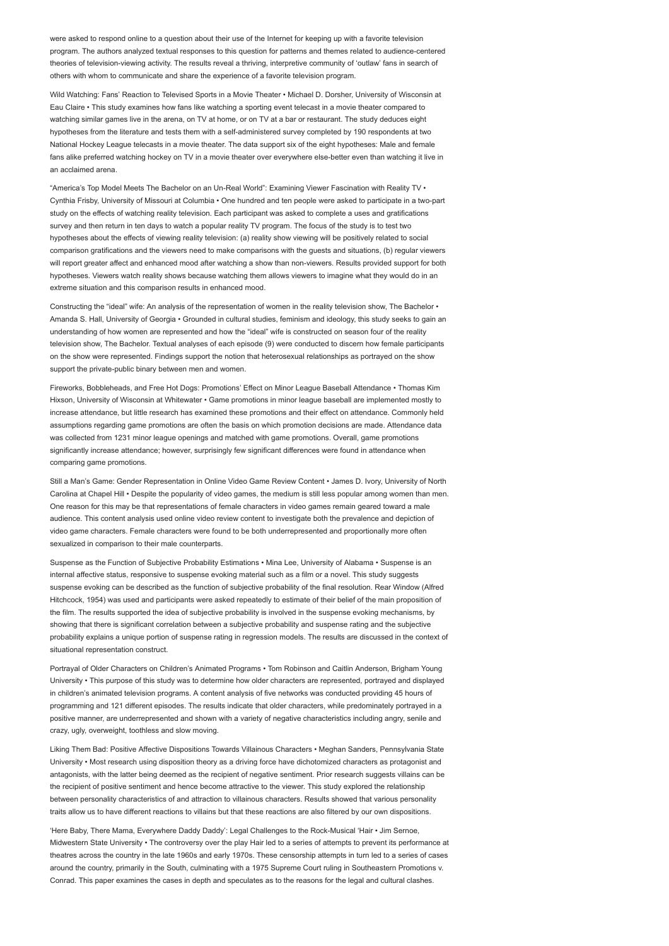were asked to respond online to a question about their use of the Internet for keeping up with a favorite television program. The authors analyzed textual responses to this question for patterns and themes related to audience-centered theories of television-viewing activity. The results reveal a thriving, interpretive community of 'outlaw' fans in search of others with whom to communicate and share the experience of a favorite television program.

Wild Watching: Fans' Reaction to Televised Sports in a Movie Theater • Michael D. Dorsher, University of Wisconsin at Eau Claire • This study examines how fans like watching a sporting event telecast in a movie theater compared to watching similar games live in the arena, on TV at home, or on TV at a bar or restaurant. The study deduces eight hypotheses from the literature and tests them with a self-administered survey completed by 190 respondents at two National Hockey League telecasts in a movie theater. The data support six of the eight hypotheses: Male and female fans alike preferred watching hockey on TV in a movie theater over everywhere else-better even than watching it live in an acclaimed arena.

"America's Top Model Meets The Bachelor on an Un-Real World": Examining Viewer Fascination with Reality TV • Cynthia Frisby, University of Missouri at Columbia • One hundred and ten people were asked to participate in a two-part study on the effects of watching reality television. Each participant was asked to complete a uses and gratifications survey and then return in ten days to watch a popular reality TV program. The focus of the study is to test two hypotheses about the effects of viewing reality television: (a) reality show viewing will be positively related to social comparison gratifications and the viewers need to make comparisons with the guests and situations, (b) regular viewers will report greater affect and enhanced mood after watching a show than non-viewers. Results provided support for both hypotheses. Viewers watch reality shows because watching them allows viewers to imagine what they would do in an extreme situation and this comparison results in enhanced mood.

Constructing the "ideal" wife: An analysis of the representation of women in the reality television show, The Bachelor • Amanda S. Hall, University of Georgia • Grounded in cultural studies, feminism and ideology, this study seeks to gain an understanding of how women are represented and how the "ideal" wife is constructed on season four of the reality television show, The Bachelor. Textual analyses of each episode (9) were conducted to discern how female participants on the show were represented. Findings support the notion that heterosexual relationships as portrayed on the show support the private-public binary between men and women.

Fireworks, Bobbleheads, and Free Hot Dogs: Promotions' Effect on Minor League Baseball Attendance • Thomas Kim Hixson, University of Wisconsin at Whitewater • Game promotions in minor league baseball are implemented mostly to increase attendance, but little research has examined these promotions and their effect on attendance. Commonly held assumptions regarding game promotions are often the basis on which promotion decisions are made. Attendance data was collected from 1231 minor league openings and matched with game promotions. Overall, game promotions significantly increase attendance; however, surprisingly few significant differences were found in attendance when comparing game promotions.

Still a Man's Game: Gender Representation in Online Video Game Review Content • James D. Ivory, University of North Carolina at Chapel Hill • Despite the popularity of video games, the medium is still less popular among women than men. One reason for this may be that representations of female characters in video games remain geared toward a male audience. This content analysis used online video review content to investigate both the prevalence and depiction of video game characters. Female characters were found to be both underrepresented and proportionally more often sexualized in comparison to their male counterparts.

Suspense as the Function of Subjective Probability Estimations • Mina Lee, University of Alabama • Suspense is an internal affective status, responsive to suspense evoking material such as a film or a novel. This study suggests suspense evoking can be described as the function of subjective probability of the final resolution. Rear Window (Alfred Hitchcock, 1954) was used and participants were asked repeatedly to estimate of their belief of the main proposition of the film. The results supported the idea of subjective probability is involved in the suspense evoking mechanisms, by showing that there is significant correlation between a subjective probability and suspense rating and the subjective probability explains a unique portion of suspense rating in regression models. The results are discussed in the context of situational representation construct

Portrayal of Older Characters on Children's Animated Programs • Tom Robinson and Caitlin Anderson, Brigham Young University • This purpose of this study was to determine how older characters are represented, portrayed and displayed in children's animated television programs. A content analysis of five networks was conducted providing 45 hours of programming and 121 different episodes. The results indicate that older characters, while predominately portrayed in a positive manner, are underrepresented and shown with a variety of negative characteristics including angry, senile and crazy, ugly, overweight, toothless and slow moving.

Liking Them Bad: Positive Affective Dispositions Towards Villainous Characters • Meghan Sanders, Pennsylvania State University • Most research using disposition theory as a driving force have dichotomized characters as protagonist and antagonists, with the latter being deemed as the recipient of negative sentiment. Prior research suggests villains can be the recipient of positive sentiment and hence become attractive to the viewer. This study explored the relationship between personality characteristics of and attraction to villainous characters. Results showed that various personality traits allow us to have different reactions to villains but that these reactions are also filtered by our own dispositions.

'Here Baby, There Mama, Everywhere Daddy Daddy': Legal Challenges to the Rock-Musical 'Hair • Jim Sernoe, Midwestern State University • The controversy over the play Hair led to a series of attempts to prevent its performance at theatres across the country in the late 1960s and early 1970s. These censorship attempts in turn led to a series of cases around the country, primarily in the South, culminating with a 1975 Supreme Court ruling in Southeastern Promotions v. Conrad. This paper examines the cases in depth and speculates as to the reasons for the legal and cultural clashes.